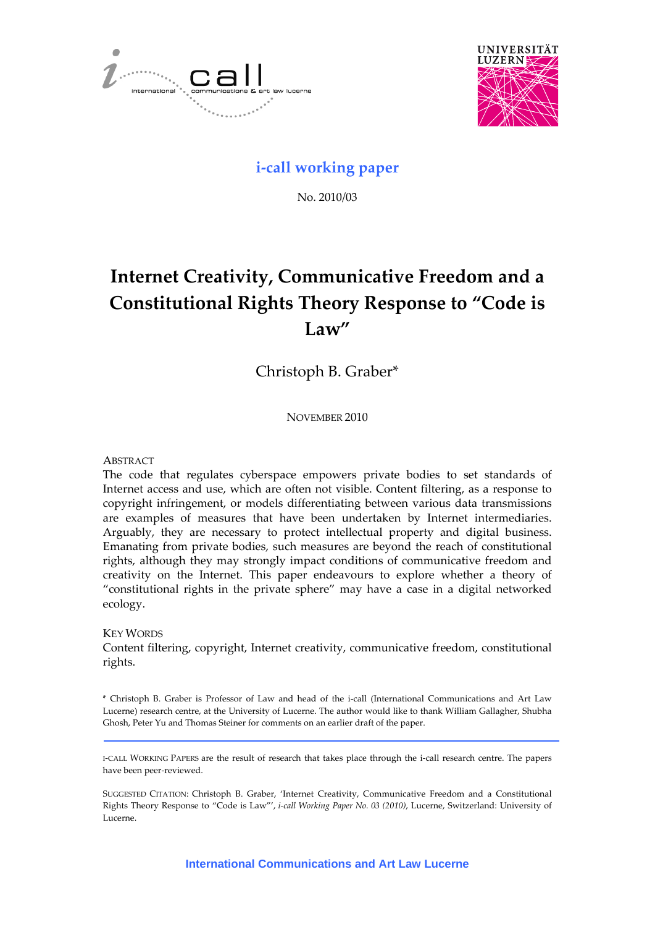



# **i‐call working paper**

No. 2010/03

# **Internet Creativity, Communicative Freedom and a Constitutional Rights Theory Response to "Code is Law"**

Christoph B. Graber\*

NOVEMBER 2010

## **ABSTRACT**

The code that regulates cyberspace empowers private bodies to set standards of Internet access and use, which are often not visible. Content filtering, as a response to copyright infringement, or models differentiating between various data transmissions are examples of measures that have been undertaken by Internet intermediaries. Arguably, they are necessary to protect intellectual property and digital business. Emanating from private bodies, such measures are beyond the reach of constitutional rights, although they may strongly impact conditions of communicative freedom and creativity on the Internet. This paper endeavours to explore whether a theory of "constitutional rights in the private sphere" may have a case in a digital networked ecology.

#### KEY WORDS

Content filtering, copyright, Internet creativity, communicative freedom, constitutional rights.

\* Christoph B. Graber is Professor of Law and head of the i‐call (International Communications and Art Law Lucerne) research centre, at the University of Lucerne. The author would like to thank William Gallagher, Shubha Ghosh, Peter Yu and Thomas Steiner for comments on an earlier draft of the paper.

I‐CALL WORKING PAPERS are the result of research that takes place through the i‐call research centre. The papers have been peer‐reviewed.

SUGGESTED CITATION: Christoph B. Graber, 'Internet Creativity, Communicative Freedom and a Constitutional Rights Theory Response to "Code is Law"', *i‐call Working Paper No. 03 (2010)*, Lucerne, Switzerland: University of Lucerne.

**International Communications and Art Law Lucerne**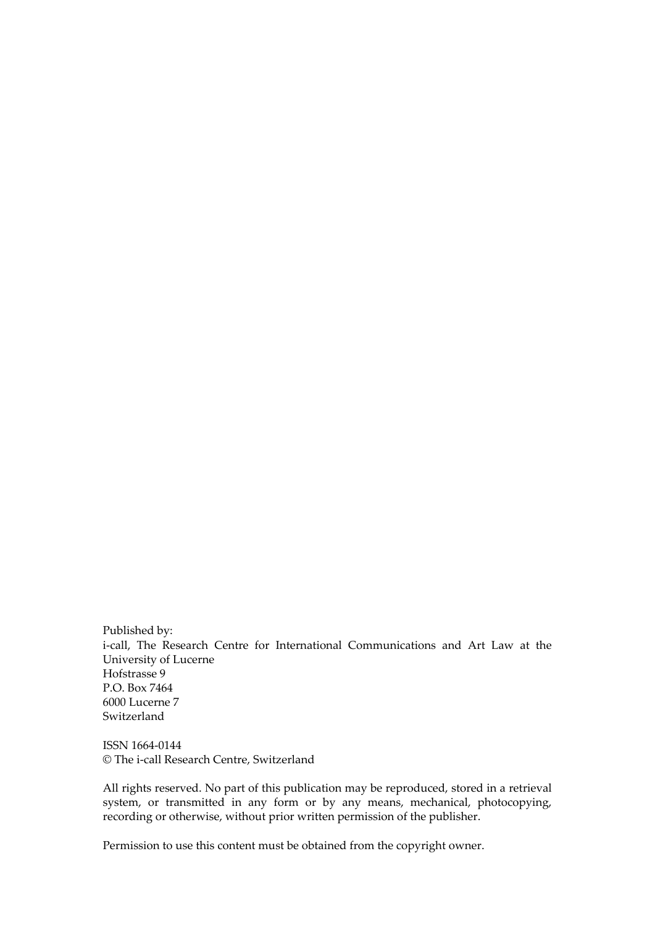Published by: i-call, The Research Centre for International Communications and Art Law at the University of Lucerne Hofstrasse 9 P.O. Box 7464 6000 Lucerne 7 Switzerland

ISSN 1664‐0144 © The i‐call Research Centre, Switzerland

All rights reserved. No part of this publication may be reproduced, stored in a retrieval system, or transmitted in any form or by any means, mechanical, photocopying, recording or otherwise, without prior written permission of the publisher.

Permission to use this content must be obtained from the copyright owner.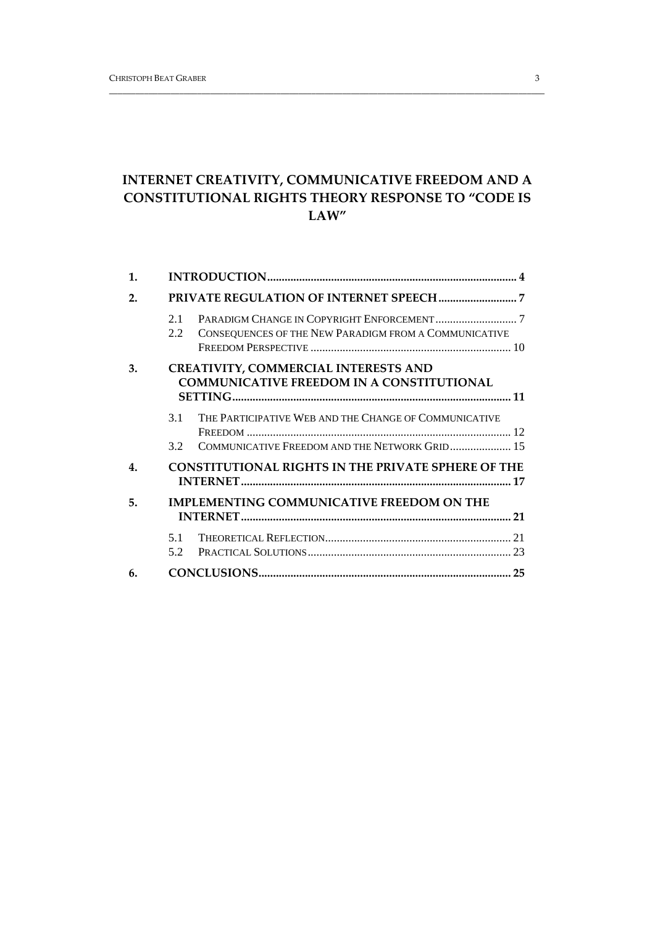# **INTERNET CREATIVITY, COMMUNICATIVE FREEDOM AND A CONSTITUTIONAL RIGHTS THEORY RESPONSE TO "CODE IS LAW"**

\_\_\_\_\_\_\_\_\_\_\_\_\_\_\_\_\_\_\_\_\_\_\_\_\_\_\_\_\_\_\_\_\_\_\_\_\_\_\_\_\_\_\_\_\_\_\_\_\_\_\_\_\_\_\_\_\_\_\_\_\_\_\_\_\_\_\_\_\_\_\_\_\_\_\_\_\_\_\_\_\_\_\_\_\_\_\_\_\_\_\_\_\_\_\_\_\_\_\_

| 1. |                                                                                                 |                                                       |  |
|----|-------------------------------------------------------------------------------------------------|-------------------------------------------------------|--|
| 2. |                                                                                                 |                                                       |  |
|    | 2.1<br>2.2                                                                                      | CONSEQUENCES OF THE NEW PARADIGM FROM A COMMUNICATIVE |  |
| 3. | <b>CREATIVITY, COMMERCIAL INTERESTS AND</b><br><b>COMMUNICATIVE FREEDOM IN A CONSTITUTIONAL</b> |                                                       |  |
|    | 3.1                                                                                             | THE PARTICIPATIVE WEB AND THE CHANGE OF COMMUNICATIVE |  |
|    | 32                                                                                              | COMMUNICATIVE FREEDOM AND THE NETWORK GRID 15         |  |
| 4. | <b>CONSTITUTIONAL RIGHTS IN THE PRIVATE SPHERE OF THE</b>                                       |                                                       |  |
| 5. | <b>IMPLEMENTING COMMUNICATIVE FREEDOM ON THE</b>                                                |                                                       |  |
|    | 5.1<br>5.2                                                                                      |                                                       |  |
| 6. |                                                                                                 |                                                       |  |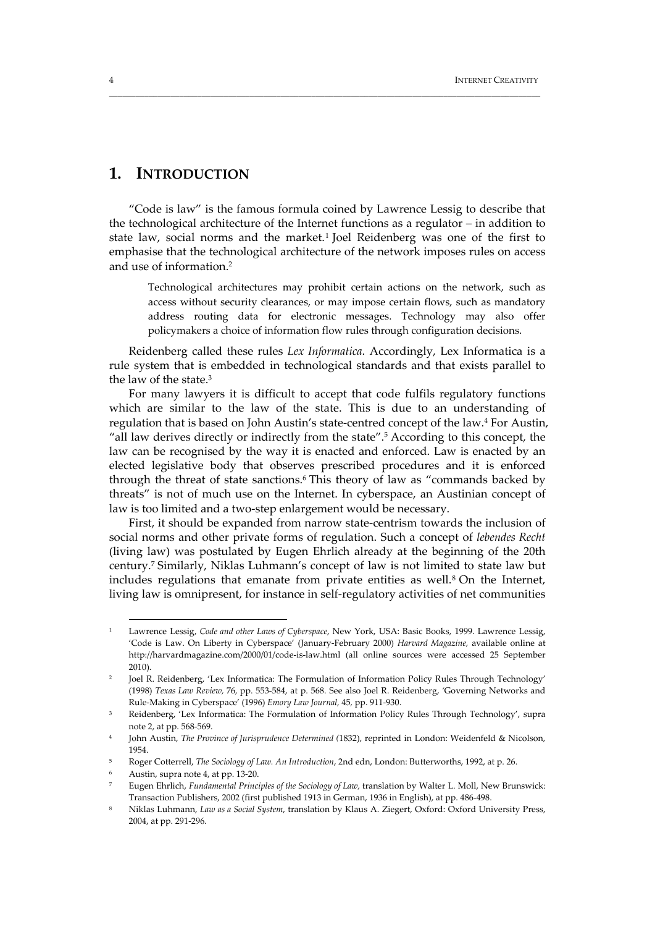# **1. INTRODUCTION**

"Code is law" is the famous formula coined by Lawrence Lessig to describe that the technological architecture of the Internet functions as a regulator – in addition to state law, social norms and the market.1 Joel Reidenberg was one of the first to emphasise that the technological architecture of the network imposes rules on access and use of information.2

\_\_\_\_\_\_\_\_\_\_\_\_\_\_\_\_\_\_\_\_\_\_\_\_\_\_\_\_\_\_\_\_\_\_\_\_\_\_\_\_\_\_\_\_\_\_\_\_\_\_\_\_\_\_\_\_\_\_\_\_\_\_\_\_\_\_\_\_\_\_\_\_\_\_\_\_\_\_\_\_\_\_\_\_\_\_\_\_\_\_\_\_\_\_\_\_\_\_

Technological architectures may prohibit certain actions on the network, such as access without security clearances, or may impose certain flows, such as mandatory address routing data for electronic messages. Technology may also offer policymakers a choice of information flow rules through configuration decisions.

Reidenberg called these rules *Lex Informatica*. Accordingly, Lex Informatica is a rule system that is embedded in technological standards and that exists parallel to the law of the state.<sup>3</sup>

For many lawyers it is difficult to accept that code fulfils regulatory functions which are similar to the law of the state. This is due to an understanding of regulation that is based on John Austin's state‐centred concept of the law.4 For Austin, "all law derives directly or indirectly from the state".5 According to this concept, the law can be recognised by the way it is enacted and enforced. Law is enacted by an elected legislative body that observes prescribed procedures and it is enforced through the threat of state sanctions.6 This theory of law as "commands backed by threats" is not of much use on the Internet. In cyberspace, an Austinian concept of law is too limited and a two-step enlargement would be necessary.

First, it should be expanded from narrow state‐centrism towards the inclusion of social norms and other private forms of regulation. Such a concept of *lebendes Recht* (living law) was postulated by Eugen Ehrlich already at the beginning of the 20th century.7 Similarly, Niklas Luhmann's concept of law is not limited to state law but includes regulations that emanate from private entities as well.<sup>8</sup> On the Internet, living law is omnipresent, for instance in self‐regulatory activities of net communities

<sup>1</sup> Lawrence Lessig, *Code and other Laws of Cyberspace*, New York, USA: Basic Books, 1999. Lawrence Lessig, 'Code is Law. On Liberty in Cyberspace' (January‐February 2000) *Harvard Magazine,* available online at http://harvardmagazine.com/2000/01/code‐is‐law.html (all online sources were accessed 25 September 2010).

<sup>&</sup>lt;sup>2</sup> Joel R. Reidenberg, 'Lex Informatica: The Formulation of Information Policy Rules Through Technology' (1998) *Texas Law Review,* 76*,* pp. 553‐584, at p. 568. See also Joel R. Reidenberg, *'*Governing Networks and Rule‐Making in Cyberspace' (1996) *Emory Law Journal,* 45*,* pp. 911‐930.

<sup>&</sup>lt;sup>3</sup> Reidenberg, 'Lex Informatica: The Formulation of Information Policy Rules Through Technology', supra note 2, at pp. 568‐569.

<sup>4</sup> John Austin, *The Province of Jurisprudence Determined (*1832), reprinted in London: Weidenfeld & Nicolson, 1954.

<sup>5</sup> Roger Cotterrell, *The Sociology of Law. An Introduction*, 2nd edn, London: Butterworths, 1992, at p. 26.

<sup>6</sup> Austin, supra note 4, at pp. 13‐20.

<sup>7</sup> Eugen Ehrlich, *Fundamental Principles of the Sociology of Law,* translation by Walter L. Moll, New Brunswick: Transaction Publishers, 2002 (first published 1913 in German, 1936 in English), at pp. 486‐498.

<sup>8</sup> Niklas Luhmann, *Law as a Social System*, translation by Klaus A. Ziegert, Oxford: Oxford University Press, 2004, at pp. 291‐296.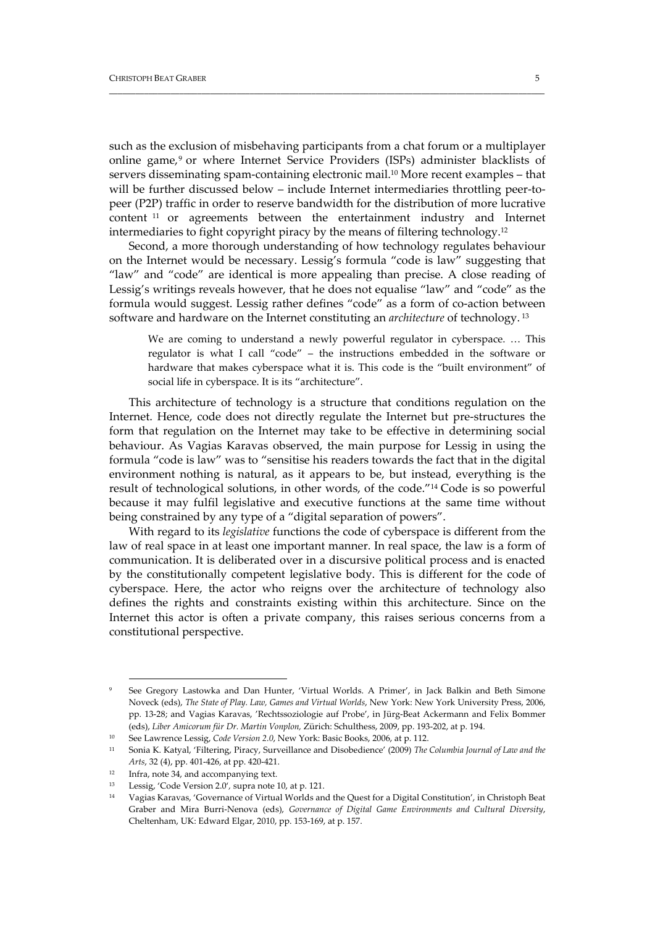such as the exclusion of misbehaving participants from a chat forum or a multiplayer online game,9 or where Internet Service Providers (ISPs) administer blacklists of servers disseminating spam-containing electronic mail.<sup>10</sup> More recent examples – that will be further discussed below – include Internet intermediaries throttling peer-topeer (P2P) traffic in order to reserve bandwidth for the distribution of more lucrative content <sup>11</sup> or agreements between the entertainment industry and Internet intermediaries to fight copyright piracy by the means of filtering technology.12

\_\_\_\_\_\_\_\_\_\_\_\_\_\_\_\_\_\_\_\_\_\_\_\_\_\_\_\_\_\_\_\_\_\_\_\_\_\_\_\_\_\_\_\_\_\_\_\_\_\_\_\_\_\_\_\_\_\_\_\_\_\_\_\_\_\_\_\_\_\_\_\_\_\_\_\_\_\_\_\_\_\_\_\_\_\_\_\_\_\_\_\_\_\_\_\_\_\_\_

Second, a more thorough understanding of how technology regulates behaviour on the Internet would be necessary. Lessig's formula "code is law" suggesting that "law" and "code" are identical is more appealing than precise. A close reading of Lessig's writings reveals however, that he does not equalise "law" and "code" as the formula would suggest. Lessig rather defines "code" as a form of co-action between software and hardware on the Internet constituting an *architecture* of technology. <sup>13</sup>

We are coming to understand a newly powerful regulator in cyberspace. … This regulator is what I call "code" – the instructions embedded in the software or hardware that makes cyberspace what it is. This code is the "built environment" of social life in cyberspace. It is its "architecture".

This architecture of technology is a structure that conditions regulation on the Internet. Hence, code does not directly regulate the Internet but pre‐structures the form that regulation on the Internet may take to be effective in determining social behaviour. As Vagias Karavas observed, the main purpose for Lessig in using the formula "code is law" was to "sensitise his readers towards the fact that in the digital environment nothing is natural, as it appears to be, but instead, everything is the result of technological solutions, in other words, of the code."14 Code is so powerful because it may fulfil legislative and executive functions at the same time without being constrained by any type of a "digital separation of powers".

With regard to its *legislative* functions the code of cyberspace is different from the law of real space in at least one important manner. In real space, the law is a form of communication. It is deliberated over in a discursive political process and is enacted by the constitutionally competent legislative body. This is different for the code of cyberspace. Here, the actor who reigns over the architecture of technology also defines the rights and constraints existing within this architecture. Since on the Internet this actor is often a private company, this raises serious concerns from a constitutional perspective.

See Gregory Lastowka and Dan Hunter, 'Virtual Worlds. A Primer', in Jack Balkin and Beth Simone Noveck (eds), *The State of Play. Law, Games and Virtual Worlds*, New York: New York University Press, 2006, pp. 13‐28; and Vagias Karavas, 'Rechtssoziologie auf Probe', in Jürg‐Beat Ackermann and Felix Bommer (eds), *Liber Amicorum für Dr. Martin Vonplon,* Zürich: Schulthess, 2009, pp. 193‐202, at p. 194.

<sup>10</sup> See Lawrence Lessig, *Code Version 2.0*, New York: Basic Books, 2006, at p. 112.

<sup>11</sup> Sonia K. Katyal, 'Filtering, Piracy, Surveillance and Disobedience' (2009) *The Columbia Journal of Law and the Arts*, 32 (4), pp. 401‐426, at pp. 420‐421.

<sup>&</sup>lt;sup>12</sup> Infra, note 34, and accompanying text.

<sup>13</sup> Lessig, 'Code Version 2.0'*,* supra note 10, at p. 121.

<sup>14</sup> Vagias Karavas, 'Governance of Virtual Worlds and the Quest for a Digital Constitution', in Christoph Beat Graber and Mira Burri‐Nenova (eds), *Governance of Digital Game Environments and Cultural Diversity*, Cheltenham, UK: Edward Elgar, 2010, pp. 153‐169, at p. 157.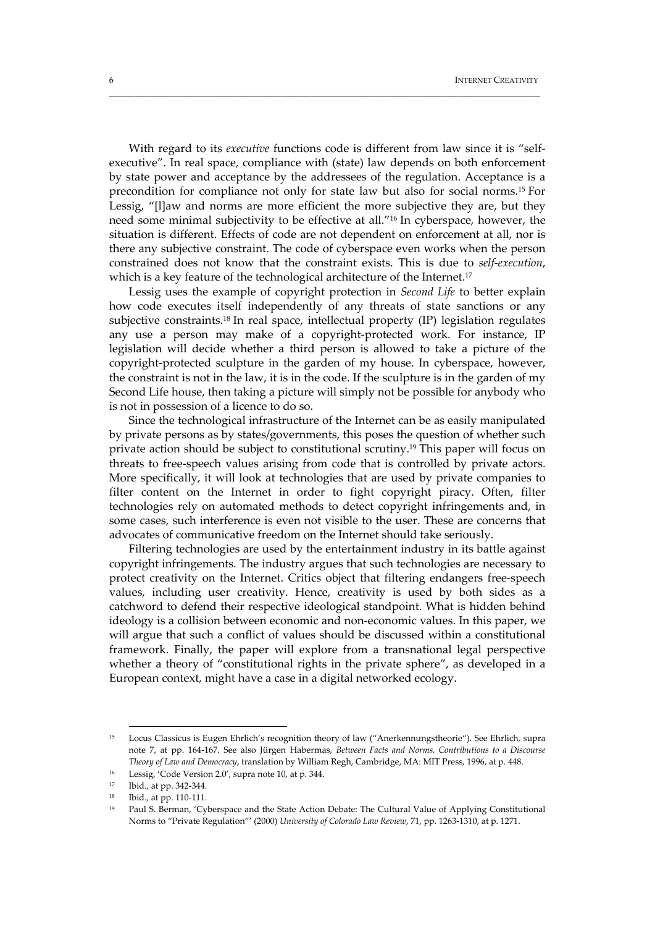With regard to its *executive* functions code is different from law since it is "selfexecutive". In real space, compliance with (state) law depends on both enforcement by state power and acceptance by the addressees of the regulation. Acceptance is a precondition for compliance not only for state law but also for social norms.15 For Lessig, "[l]aw and norms are more efficient the more subjective they are, but they need some minimal subjectivity to be effective at all."16 In cyberspace, however, the situation is different. Effects of code are not dependent on enforcement at all, nor is there any subjective constraint. The code of cyberspace even works when the person constrained does not know that the constraint exists. This is due to *self‐execution*, which is a key feature of the technological architecture of the Internet.<sup>17</sup>

\_\_\_\_\_\_\_\_\_\_\_\_\_\_\_\_\_\_\_\_\_\_\_\_\_\_\_\_\_\_\_\_\_\_\_\_\_\_\_\_\_\_\_\_\_\_\_\_\_\_\_\_\_\_\_\_\_\_\_\_\_\_\_\_\_\_\_\_\_\_\_\_\_\_\_\_\_\_\_\_\_\_\_\_\_\_\_\_\_\_\_\_\_\_\_\_\_\_

Lessig uses the example of copyright protection in *Second Life* to better explain how code executes itself independently of any threats of state sanctions or any subjective constraints.18 In real space, intellectual property (IP) legislation regulates any use a person may make of a copyright‐protected work. For instance, IP legislation will decide whether a third person is allowed to take a picture of the copyright‐protected sculpture in the garden of my house. In cyberspace, however, the constraint is not in the law, it is in the code. If the sculpture is in the garden of my Second Life house, then taking a picture will simply not be possible for anybody who is not in possession of a licence to do so.

Since the technological infrastructure of the Internet can be as easily manipulated by private persons as by states/governments, this poses the question of whether such private action should be subject to constitutional scrutiny.19 This paper will focus on threats to free‐speech values arising from code that is controlled by private actors. More specifically, it will look at technologies that are used by private companies to filter content on the Internet in order to fight copyright piracy. Often, filter technologies rely on automated methods to detect copyright infringements and, in some cases, such interference is even not visible to the user. These are concerns that advocates of communicative freedom on the Internet should take seriously.

Filtering technologies are used by the entertainment industry in its battle against copyright infringements. The industry argues that such technologies are necessary to protect creativity on the Internet. Critics object that filtering endangers free‐speech values, including user creativity. Hence, creativity is used by both sides as a catchword to defend their respective ideological standpoint. What is hidden behind ideology is a collision between economic and non‐economic values. In this paper, we will argue that such a conflict of values should be discussed within a constitutional framework. Finally, the paper will explore from a transnational legal perspective whether a theory of "constitutional rights in the private sphere", as developed in a European context, might have a case in a digital networked ecology.

<sup>15</sup> Locus Classicus is Eugen Ehrlich's recognition theory of law ("Anerkennungstheorie"). See Ehrlich, supra note 7, at pp. 164‐167. See also Jürgen Habermas, *Between Facts and Norms. Contributions to a Discourse Theory of Law and Democracy*, translation by William Regh, Cambridge, MA: MIT Press, 1996, at p. 448.

<sup>16</sup> Lessig, 'Code Version 2.0', supra note 10, at p. 344.

<sup>17</sup> Ibid., at pp. 342‐344.

<sup>18</sup> Ibid., at pp. 110‐111.

<sup>19</sup> Paul S. Berman, 'Cyberspace and the State Action Debate: The Cultural Value of Applying Constitutional Norms to "Private Regulation"' (2000) *University of Colorado Law Review*, 71, pp. 1263‐1310, at p. 1271.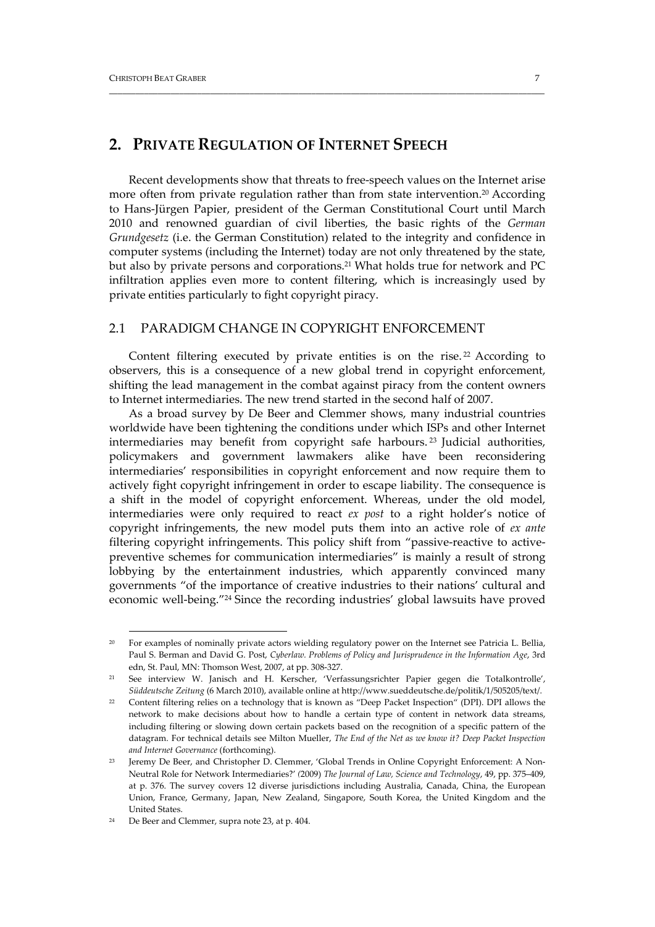# **2. PRIVATE REGULATION OF INTERNET SPEECH**

Recent developments show that threats to free‐speech values on the Internet arise more often from private regulation rather than from state intervention.<sup>20</sup> According to Hans‐Jürgen Papier, president of the German Constitutional Court until March 2010 and renowned guardian of civil liberties, the basic rights of the *German Grundgesetz* (i.e. the German Constitution) related to the integrity and confidence in computer systems (including the Internet) today are not only threatened by the state, but also by private persons and corporations.21 What holds true for network and PC infiltration applies even more to content filtering, which is increasingly used by private entities particularly to fight copyright piracy.

\_\_\_\_\_\_\_\_\_\_\_\_\_\_\_\_\_\_\_\_\_\_\_\_\_\_\_\_\_\_\_\_\_\_\_\_\_\_\_\_\_\_\_\_\_\_\_\_\_\_\_\_\_\_\_\_\_\_\_\_\_\_\_\_\_\_\_\_\_\_\_\_\_\_\_\_\_\_\_\_\_\_\_\_\_\_\_\_\_\_\_\_\_\_\_\_\_\_\_

#### 2.1 PARADIGM CHANGE IN COPYRIGHT ENFORCEMENT

Content filtering executed by private entities is on the rise.<sup>22</sup> According to observers, this is a consequence of a new global trend in copyright enforcement, shifting the lead management in the combat against piracy from the content owners to Internet intermediaries. The new trend started in the second half of 2007.

As a broad survey by De Beer and Clemmer shows, many industrial countries worldwide have been tightening the conditions under which ISPs and other Internet intermediaries may benefit from copyright safe harbours. <sup>23</sup> Judicial authorities, policymakers and government lawmakers alike have been reconsidering intermediaries' responsibilities in copyright enforcement and now require them to actively fight copyright infringement in order to escape liability. The consequence is a shift in the model of copyright enforcement. Whereas, under the old model, intermediaries were only required to react *ex post* to a right holder's notice of copyright infringements, the new model puts them into an active role of *ex ante* filtering copyright infringements. This policy shift from "passive-reactive to activepreventive schemes for communication intermediaries" is mainly a result of strong lobbying by the entertainment industries, which apparently convinced many governments "of the importance of creative industries to their nations' cultural and economic well-being."<sup>24</sup> Since the recording industries' global lawsuits have proved

<u> 1989 - Johann Barn, mars eta bainar eta industrial eta baina eta baina eta baina eta baina eta baina eta bain</u>

<sup>&</sup>lt;sup>20</sup> For examples of nominally private actors wielding regulatory power on the Internet see Patricia L. Bellia, Paul S. Berman and David G. Post, *Cyberlaw. Problems of Policy and Jurisprudence in the Information Age*, 3rd edn, St. Paul, MN: Thomson West, 2007, at pp. 308‐327.

<sup>21</sup> See interview W. Janisch and H. Kerscher, 'Verfassungsrichter Papier gegen die Totalkontrolle', *Süddeutsche Zeitung* (6 March 2010), available online at http://www.sueddeutsche.de/politik/1/505205/text/.

<sup>22</sup> Content filtering relies on a technology that is known as "Deep Packet Inspection" (DPI). DPI allows the network to make decisions about how to handle a certain type of content in network data streams, including filtering or slowing down certain packets based on the recognition of a specific pattern of the datagram. For technical details see Milton Mueller, *The End of the Net as we know it? Deep Packet Inspection and Internet Governance* (forthcoming).

<sup>&</sup>lt;sup>23</sup> Jeremy De Beer, and Christopher D. Clemmer, 'Global Trends in Online Copyright Enforcement: A Non-Neutral Role for Network Intermediaries?' *(*2009) *The Journal of Law, Science and Technology*, 49, pp. 375–409, at p. 376. The survey covers 12 diverse jurisdictions including Australia, Canada, China, the European Union, France, Germany, Japan, New Zealand, Singapore, South Korea, the United Kingdom and the United States.

<sup>24</sup> De Beer and Clemmer, supra note 23, at p. 404.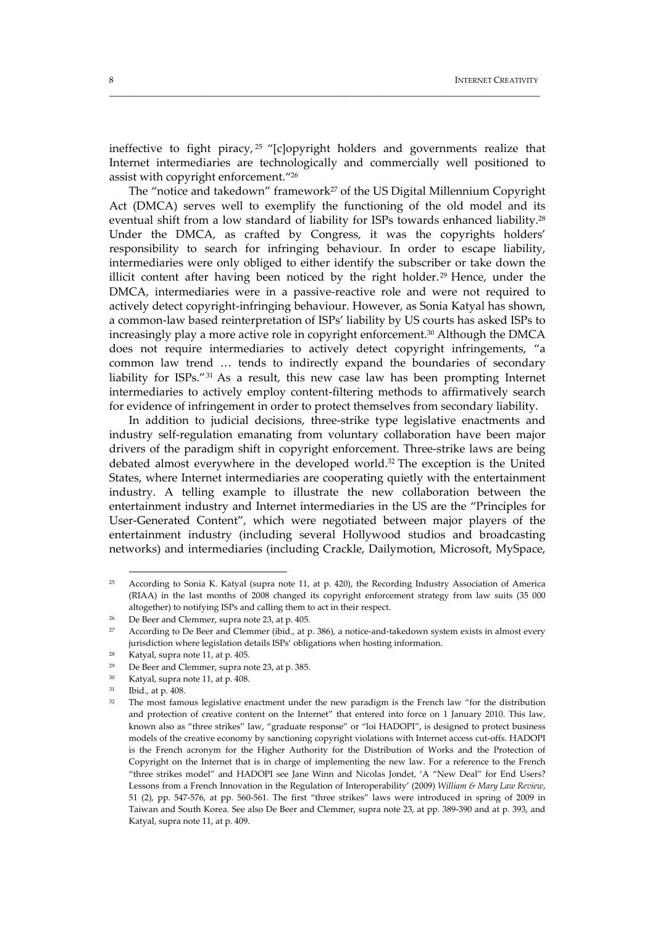ineffective to fight piracy, <sup>25</sup> "[c]opyright holders and governments realize that Internet intermediaries are technologically and commercially well positioned to assist with copyright enforcement."26

\_\_\_\_\_\_\_\_\_\_\_\_\_\_\_\_\_\_\_\_\_\_\_\_\_\_\_\_\_\_\_\_\_\_\_\_\_\_\_\_\_\_\_\_\_\_\_\_\_\_\_\_\_\_\_\_\_\_\_\_\_\_\_\_\_\_\_\_\_\_\_\_\_\_\_\_\_\_\_\_\_\_\_\_\_\_\_\_\_\_\_\_\_\_\_\_\_\_

The "notice and takedown" framework<sup>27</sup> of the US Digital Millennium Copyright Act (DMCA) serves well to exemplify the functioning of the old model and its eventual shift from a low standard of liability for ISPs towards enhanced liability.<sup>28</sup> Under the DMCA, as crafted by Congress, it was the copyrights holders' responsibility to search for infringing behaviour. In order to escape liability, intermediaries were only obliged to either identify the subscriber or take down the illicit content after having been noticed by the right holder.<sup>29</sup> Hence, under the DMCA, intermediaries were in a passive-reactive role and were not required to actively detect copyright‐infringing behaviour. However, as Sonia Katyal has shown, a common‐law based reinterpretation of ISPs' liability by US courts has asked ISPs to increasingly play a more active role in copyright enforcement.30 Although the DMCA does not require intermediaries to actively detect copyright infringements, "a common law trend … tends to indirectly expand the boundaries of secondary liability for ISPs."31 As a result, this new case law has been prompting Internet intermediaries to actively employ content‐filtering methods to affirmatively search for evidence of infringement in order to protect themselves from secondary liability.

In addition to judicial decisions, three‐strike type legislative enactments and industry self‐regulation emanating from voluntary collaboration have been major drivers of the paradigm shift in copyright enforcement. Three‐strike laws are being debated almost everywhere in the developed world.32 The exception is the United States, where Internet intermediaries are cooperating quietly with the entertainment industry. A telling example to illustrate the new collaboration between the entertainment industry and Internet intermediaries in the US are the "Principles for User‐Generated Content", which were negotiated between major players of the entertainment industry (including several Hollywood studios and broadcasting networks) and intermediaries (including Crackle, Dailymotion, Microsoft, MySpace,

 $25$  According to Sonia K. Katyal (supra note 11, at p. 420), the Recording Industry Association of America (RIAA) in the last months of 2008 changed its copyright enforcement strategy from law suits (35 000 altogether) to notifying ISPs and calling them to act in their respect.

<sup>26</sup> De Beer and Clemmer, supra note 23, at p. 405.

<sup>&</sup>lt;sup>27</sup> According to De Beer and Clemmer (ibid., at p. 386), a notice-and-takedown system exists in almost every jurisdiction where legislation details ISPs' obligations when hosting information.

 $28$  Katyal, supra note 11, at p. 405.

<sup>29</sup> De Beer and Clemmer, supra note 23, at p. 385.

<sup>30</sup> Katyal, supra note 11, at p. 408.

<sup>31</sup> Ibid., at p. 408.

<sup>&</sup>lt;sup>32</sup> The most famous legislative enactment under the new paradigm is the French law "for the distribution and protection of creative content on the Internet" that entered into force on 1 January 2010. This law, known also as "three strikes" law, "graduate response" or "loi HADOPI", is designed to protect business models of the creative economy by sanctioning copyright violations with Internet access cut-offs. HADOPI is the French acronym for the Higher Authority for the Distribution of Works and the Protection of Copyright on the Internet that is in charge of implementing the new law. For a reference to the French "three strikes model" and HADOPI see Jane Winn and Nicolas Jondet, 'A "New Deal" for End Users? Lessons from a French Innovation in the Regulation of Interoperability' (2009) *William & Mary Law Review*, 51 (2), pp. 547‐576, at pp. 560‐561. The first "three strikes" laws were introduced in spring of 2009 in Taiwan and South Korea. See also De Beer and Clemmer, supra note 23, at pp. 389‐390 and at p. 393, and Katyal, supra note 11, at p. 409.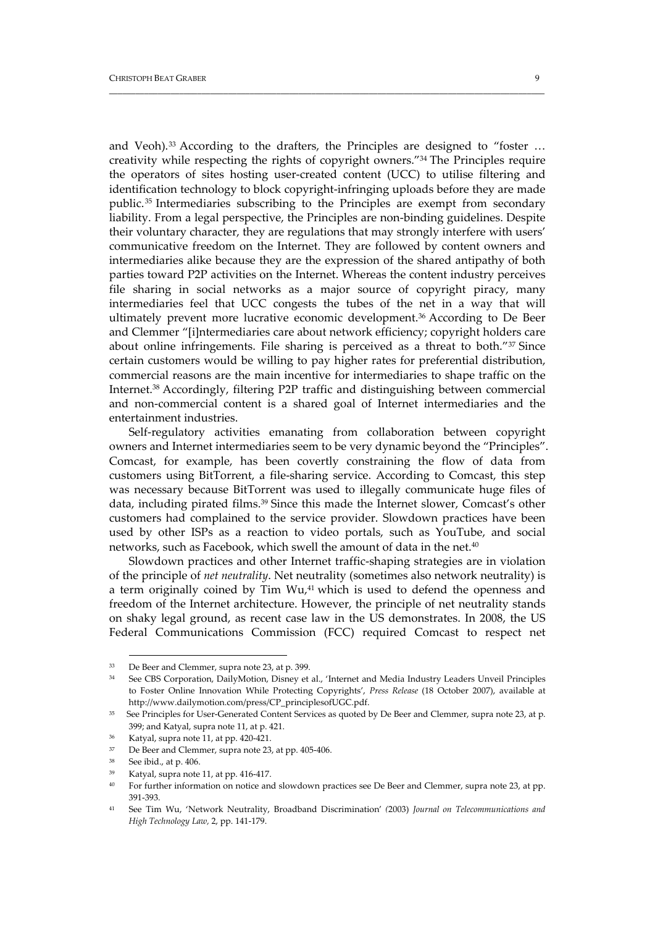and Veoh).<sup>33</sup> According to the drafters, the Principles are designed to "foster ... creativity while respecting the rights of copyright owners."34 The Principles require the operators of sites hosting user‐created content (UCC) to utilise filtering and identification technology to block copyright‐infringing uploads before they are made public.35 Intermediaries subscribing to the Principles are exempt from secondary liability. From a legal perspective, the Principles are non‐binding guidelines. Despite their voluntary character, they are regulations that may strongly interfere with users' communicative freedom on the Internet. They are followed by content owners and intermediaries alike because they are the expression of the shared antipathy of both parties toward P2P activities on the Internet. Whereas the content industry perceives file sharing in social networks as a major source of copyright piracy, many intermediaries feel that UCC congests the tubes of the net in a way that will ultimately prevent more lucrative economic development.36 According to De Beer and Clemmer "[i]ntermediaries care about network efficiency; copyright holders care about online infringements. File sharing is perceived as a threat to both. $137$  Since certain customers would be willing to pay higher rates for preferential distribution, commercial reasons are the main incentive for intermediaries to shape traffic on the Internet.38 Accordingly, filtering P2P traffic and distinguishing between commercial and non‐commercial content is a shared goal of Internet intermediaries and the entertainment industries.

\_\_\_\_\_\_\_\_\_\_\_\_\_\_\_\_\_\_\_\_\_\_\_\_\_\_\_\_\_\_\_\_\_\_\_\_\_\_\_\_\_\_\_\_\_\_\_\_\_\_\_\_\_\_\_\_\_\_\_\_\_\_\_\_\_\_\_\_\_\_\_\_\_\_\_\_\_\_\_\_\_\_\_\_\_\_\_\_\_\_\_\_\_\_\_\_\_\_\_

Self-regulatory activities emanating from collaboration between copyright owners and Internet intermediaries seem to be very dynamic beyond the "Principles". Comcast, for example, has been covertly constraining the flow of data from customers using BitTorrent, a file‐sharing service. According to Comcast, this step was necessary because BitTorrent was used to illegally communicate huge files of data, including pirated films.39 Since this made the Internet slower, Comcast's other customers had complained to the service provider. Slowdown practices have been used by other ISPs as a reaction to video portals, such as YouTube, and social networks, such as Facebook, which swell the amount of data in the net.<sup>40</sup>

Slowdown practices and other Internet traffic‐shaping strategies are in violation of the principle of *net neutrality*. Net neutrality (sometimes also network neutrality) is a term originally coined by Tim Wu,<sup>41</sup> which is used to defend the openness and freedom of the Internet architecture. However, the principle of net neutrality stands on shaky legal ground, as recent case law in the US demonstrates. In 2008, the US Federal Communications Commission (FCC) required Comcast to respect net

 <sup>33</sup> De Beer and Clemmer, supra note 23, at p. 399.

<sup>34</sup> See CBS Corporation, DailyMotion, Disney et al., 'Internet and Media Industry Leaders Unveil Principles to Foster Online Innovation While Protecting Copyrights', *Press Release* (18 October 2007), available at http://www.dailymotion.com/press/CP\_principlesofUGC.pdf.

<sup>35</sup> See Principles for User‐Generated Content Services as quoted by De Beer and Clemmer, supra note 23, at p. 399; and Katyal, supra note 11, at p. 421.

<sup>36</sup> Katyal, supra note 11, at pp. 420‐421.

<sup>37</sup> De Beer and Clemmer, supra note 23, at pp. 405‐406.

See ibid., at p. 406.

Katyal, supra note 11, at pp. 416-417.

<sup>40</sup> For further information on notice and slowdown practices see De Beer and Clemmer, supra note 23, at pp. 391‐393.

<sup>41</sup> See Tim Wu, 'Network Neutrality, Broadband Discrimination' *(*2003) *Journal on Telecommunications and High Technology Law,* 2, pp. 141‐179.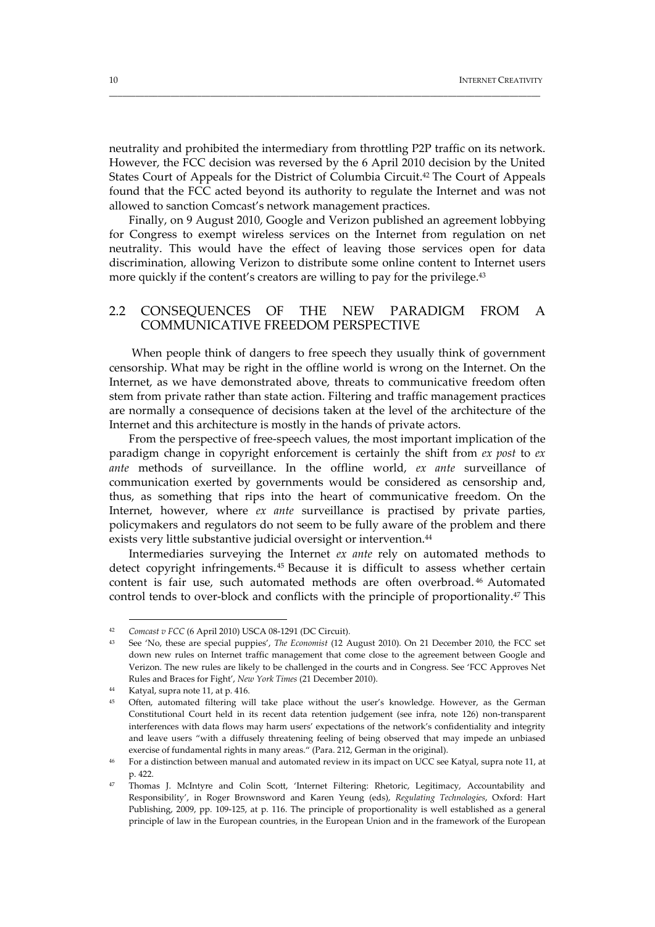neutrality and prohibited the intermediary from throttling P2P traffic on its network. However, the FCC decision was reversed by the 6 April 2010 decision by the United States Court of Appeals for the District of Columbia Circuit.42 The Court of Appeals found that the FCC acted beyond its authority to regulate the Internet and was not allowed to sanction Comcast's network management practices.

\_\_\_\_\_\_\_\_\_\_\_\_\_\_\_\_\_\_\_\_\_\_\_\_\_\_\_\_\_\_\_\_\_\_\_\_\_\_\_\_\_\_\_\_\_\_\_\_\_\_\_\_\_\_\_\_\_\_\_\_\_\_\_\_\_\_\_\_\_\_\_\_\_\_\_\_\_\_\_\_\_\_\_\_\_\_\_\_\_\_\_\_\_\_\_\_\_\_

Finally, on 9 August 2010, Google and Verizon published an agreement lobbying for Congress to exempt wireless services on the Internet from regulation on net neutrality. This would have the effect of leaving those services open for data discrimination, allowing Verizon to distribute some online content to Internet users more quickly if the content's creators are willing to pay for the privilege.<sup>43</sup>

#### 2.2 CONSEQUENCES OF THE NEW PARADIGM FROM A COMMUNICATIVE FREEDOM PERSPECTIVE

When people think of dangers to free speech they usually think of government censorship. What may be right in the offline world is wrong on the Internet. On the Internet, as we have demonstrated above, threats to communicative freedom often stem from private rather than state action. Filtering and traffic management practices are normally a consequence of decisions taken at the level of the architecture of the Internet and this architecture is mostly in the hands of private actors.

From the perspective of free‐speech values, the most important implication of the paradigm change in copyright enforcement is certainly the shift from *ex post* to *ex ante* methods of surveillance. In the offline world, *ex ante* surveillance of communication exerted by governments would be considered as censorship and, thus, as something that rips into the heart of communicative freedom. On the Internet, however, where *ex ante* surveillance is practised by private parties, policymakers and regulators do not seem to be fully aware of the problem and there exists very little substantive judicial oversight or intervention.<sup>44</sup>

Intermediaries surveying the Internet *ex ante* rely on automated methods to detect copyright infringements. <sup>45</sup> Because it is difficult to assess whether certain content is fair use, such automated methods are often overbroad. <sup>46</sup> Automated control tends to over-block and conflicts with the principle of proportionality.<sup>47</sup> This

<sup>42</sup> *Comcast v FCC* (6 April 2010) USCA 08‐1291 (DC Circuit).

<sup>43</sup> See 'No, these are special puppies', *The Economist* (12 August 2010). On 21 December 2010, the FCC set down new rules on Internet traffic management that come close to the agreement between Google and Verizon. The new rules are likely to be challenged in the courts and in Congress. See 'FCC Approves Net Rules and Braces for Fight', *New York Times* (21 December 2010).

<sup>44</sup> Katyal, supra note 11, at p. 416.

Often, automated filtering will take place without the user's knowledge. However, as the German Constitutional Court held in its recent data retention judgement (see infra, note 126) non‐transparent interferences with data flows may harm users' expectations of the network's confidentiality and integrity and leave users "with a diffusely threatening feeling of being observed that may impede an unbiased exercise of fundamental rights in many areas." (Para. 212, German in the original).

<sup>46</sup> For a distinction between manual and automated review in its impact on UCC see Katyal, supra note 11, at p. 422.

<sup>47</sup> Thomas J. McIntyre and Colin Scott, 'Internet Filtering: Rhetoric, Legitimacy, Accountability and Responsibility', in Roger Brownsword and Karen Yeung (eds), *Regulating Technologies*, Oxford: Hart Publishing, 2009, pp. 109‐125, at p. 116. The principle of proportionality is well established as a general principle of law in the European countries, in the European Union and in the framework of the European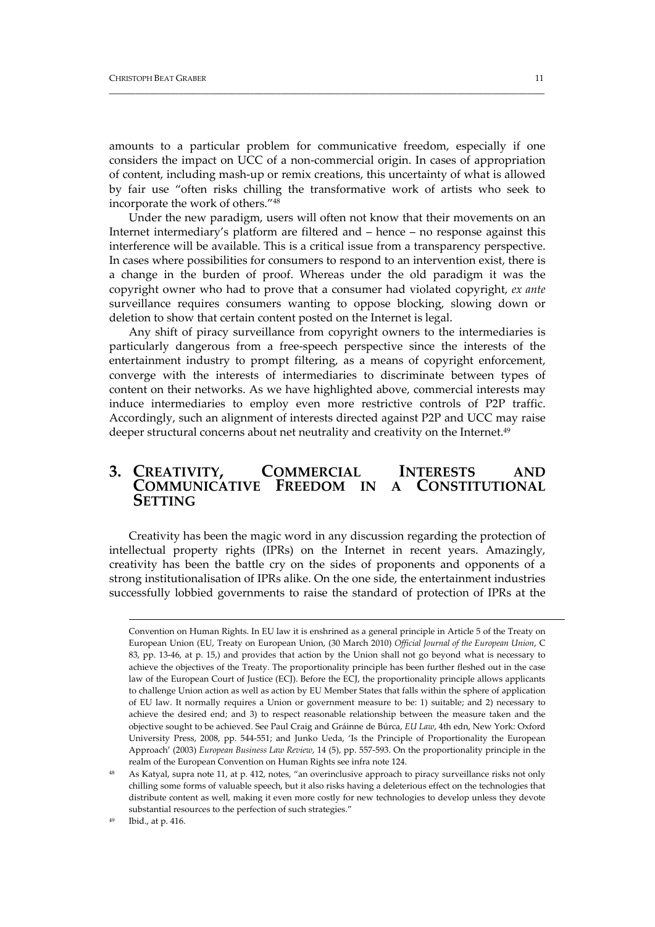amounts to a particular problem for communicative freedom, especially if one considers the impact on UCC of a non‐commercial origin. In cases of appropriation of content, including mash‐up or remix creations, this uncertainty of what is allowed by fair use "often risks chilling the transformative work of artists who seek to incorporate the work of others."48

\_\_\_\_\_\_\_\_\_\_\_\_\_\_\_\_\_\_\_\_\_\_\_\_\_\_\_\_\_\_\_\_\_\_\_\_\_\_\_\_\_\_\_\_\_\_\_\_\_\_\_\_\_\_\_\_\_\_\_\_\_\_\_\_\_\_\_\_\_\_\_\_\_\_\_\_\_\_\_\_\_\_\_\_\_\_\_\_\_\_\_\_\_\_\_\_\_\_\_

Under the new paradigm, users will often not know that their movements on an Internet intermediary's platform are filtered and – hence – no response against this interference will be available. This is a critical issue from a transparency perspective. In cases where possibilities for consumers to respond to an intervention exist, there is a change in the burden of proof. Whereas under the old paradigm it was the copyright owner who had to prove that a consumer had violated copyright, *ex ante* surveillance requires consumers wanting to oppose blocking, slowing down or deletion to show that certain content posted on the Internet is legal.

Any shift of piracy surveillance from copyright owners to the intermediaries is particularly dangerous from a free‐speech perspective since the interests of the entertainment industry to prompt filtering, as a means of copyright enforcement, converge with the interests of intermediaries to discriminate between types of content on their networks. As we have highlighted above, commercial interests may induce intermediaries to employ even more restrictive controls of P2P traffic. Accordingly, such an alignment of interests directed against P2P and UCC may raise deeper structural concerns about net neutrality and creativity on the Internet.<sup>49</sup>

## **3. CREATIVITY, COMMERCIAL INTERESTS AND COMMUNICATIVE FREEDOM IN SETTING**

Creativity has been the magic word in any discussion regarding the protection of intellectual property rights (IPRs) on the Internet in recent years. Amazingly, creativity has been the battle cry on the sides of proponents and opponents of a strong institutionalisation of IPRs alike. On the one side, the entertainment industries successfully lobbied governments to raise the standard of protection of IPRs at the

<u> 1989 - Jan Salaman Salaman (j. 1989)</u>

Convention on Human Rights. In EU law it is enshrined as a general principle in Article 5 of the Treaty on European Union (EU, Treaty on European Union, (30 March 2010) *Official Journal of the European Union*, C 83, pp. 13‐46, at p. 15,) and provides that action by the Union shall not go beyond what is necessary to achieve the objectives of the Treaty. The proportionality principle has been further fleshed out in the case law of the European Court of Justice (ECJ). Before the ECJ, the proportionality principle allows applicants to challenge Union action as well as action by EU Member States that falls within the sphere of application of EU law. It normally requires a Union or government measure to be: 1) suitable; and 2) necessary to achieve the desired end; and 3) to respect reasonable relationship between the measure taken and the objective sought to be achieved. See Paul Craig and Gráinne de Búrca, *EU Law*, 4th edn, New York: Oxford University Press, 2008, pp. 544‐551; and Junko Ueda, 'Is the Principle of Proportionality the European Approach' (2003) *European Business Law Review*, 14 (5), pp. 557‐593. On the proportionality principle in the realm of the European Convention on Human Rights see infra note 124.

<sup>&</sup>lt;sup>48</sup> As Katyal, supra note 11, at p. 412, notes, "an overinclusive approach to piracy surveillance risks not only chilling some forms of valuable speech, but it also risks having a deleterious effect on the technologies that distribute content as well, making it even more costly for new technologies to develop unless they devote substantial resources to the perfection of such strategies."

<sup>49</sup> Ibid., at p. 416.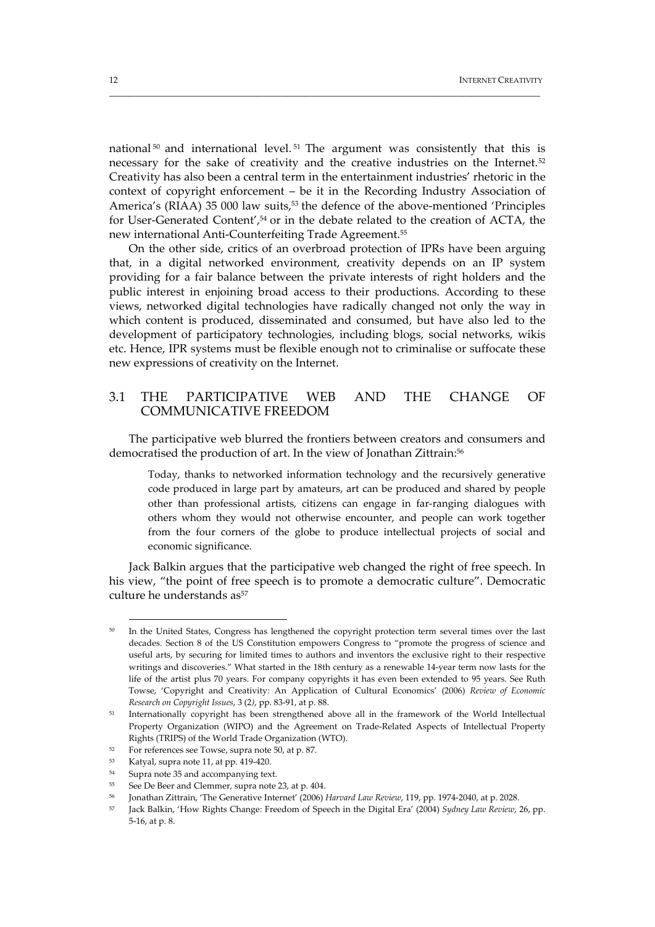national<sup>50</sup> and international level.<sup>51</sup> The argument was consistently that this is necessary for the sake of creativity and the creative industries on the Internet.52 Creativity has also been a central term in the entertainment industries' rhetoric in the context of copyright enforcement – be it in the Recording Industry Association of America's (RIAA) 35 000 law suits,<sup>53</sup> the defence of the above-mentioned 'Principles for User-Generated Content',<sup>54</sup> or in the debate related to the creation of ACTA, the new international Anti‐Counterfeiting Trade Agreement.55

\_\_\_\_\_\_\_\_\_\_\_\_\_\_\_\_\_\_\_\_\_\_\_\_\_\_\_\_\_\_\_\_\_\_\_\_\_\_\_\_\_\_\_\_\_\_\_\_\_\_\_\_\_\_\_\_\_\_\_\_\_\_\_\_\_\_\_\_\_\_\_\_\_\_\_\_\_\_\_\_\_\_\_\_\_\_\_\_\_\_\_\_\_\_\_\_\_\_

On the other side, critics of an overbroad protection of IPRs have been arguing that, in a digital networked environment, creativity depends on an IP system providing for a fair balance between the private interests of right holders and the public interest in enjoining broad access to their productions. According to these views, networked digital technologies have radically changed not only the way in which content is produced, disseminated and consumed, but have also led to the development of participatory technologies, including blogs, social networks, wikis etc. Hence, IPR systems must be flexible enough not to criminalise or suffocate these new expressions of creativity on the Internet.

#### 3.1 THE PARTICIPATIVE WEB AND THE CHANGE OF COMMUNICATIVE FREEDOM

The participative web blurred the frontiers between creators and consumers and democratised the production of art. In the view of Jonathan Zittrain:56

Today, thanks to networked information technology and the recursively generative code produced in large part by amateurs, art can be produced and shared by people other than professional artists, citizens can engage in far-ranging dialogues with others whom they would not otherwise encounter, and people can work together from the four corners of the globe to produce intellectual projects of social and economic significance.

Jack Balkin argues that the participative web changed the right of free speech. In his view, "the point of free speech is to promote a democratic culture". Democratic culture he understands  $as^{57}$ 

<sup>&</sup>lt;sup>50</sup> In the United States, Congress has lengthened the copyright protection term several times over the last decades. Section 8 of the US Constitution empowers Congress to "promote the progress of science and useful arts, by securing for limited times to authors and inventors the exclusive right to their respective writings and discoveries." What started in the 18th century as a renewable 14-year term now lasts for the life of the artist plus 70 years. For company copyrights it has even been extended to 95 years. See Ruth Towse, 'Copyright and Creativity: An Application of Cultural Economics' (2006) *Review of Economic Research on Copyright Issues*, 3 (2*)*, pp. 83‐91, at p. 88.

<sup>51</sup> Internationally copyright has been strengthened above all in the framework of the World Intellectual Property Organization (WIPO) and the Agreement on Trade‐Related Aspects of Intellectual Property Rights (TRIPS) of the World Trade Organization (WTO).

<sup>52</sup> For references see Towse, supra note 50, at p. 87.

<sup>53</sup> Katyal, supra note 11, at pp. 419‐420.

<sup>54</sup> Supra note 35 and accompanying text.

See De Beer and Clemmer, supra note 23, at p. 404.

<sup>56</sup> Jonathan Zittrain, 'The Generative Internet' (2006) *Harvard Law Review*, 119, pp. 1974‐2040, at p. 2028.

<sup>57</sup> Jack Balkin, 'How Rights Change: Freedom of Speech in the Digital Era' (2004) *Sydney Law Review*, 26, pp. 5‐16, at p. 8.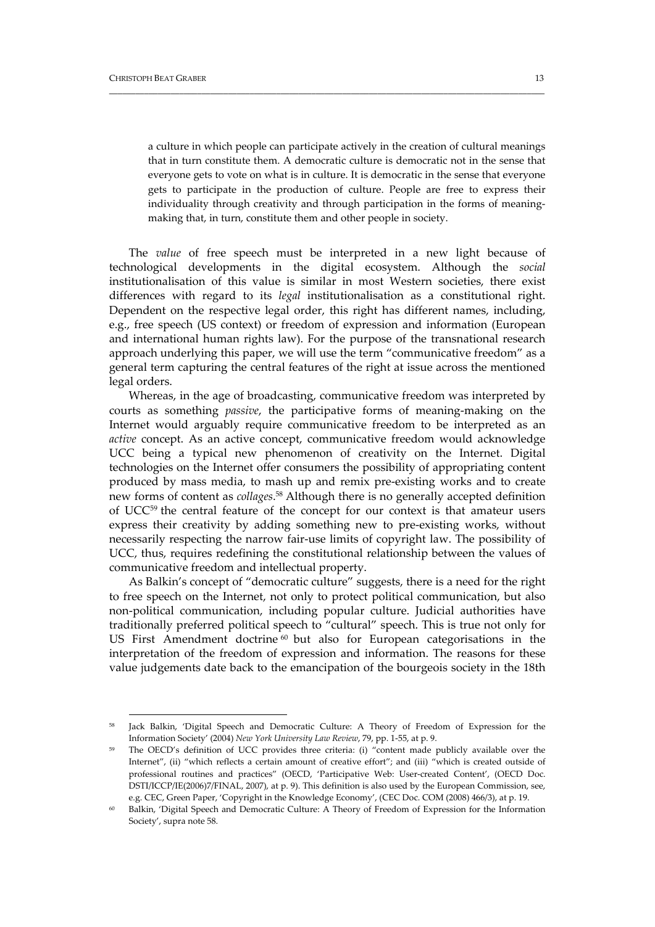a culture in which people can participate actively in the creation of cultural meanings that in turn constitute them. A democratic culture is democratic not in the sense that everyone gets to vote on what is in culture. It is democratic in the sense that everyone gets to participate in the production of culture. People are free to express their individuality through creativity and through participation in the forms of meaning‐ making that, in turn, constitute them and other people in society.

\_\_\_\_\_\_\_\_\_\_\_\_\_\_\_\_\_\_\_\_\_\_\_\_\_\_\_\_\_\_\_\_\_\_\_\_\_\_\_\_\_\_\_\_\_\_\_\_\_\_\_\_\_\_\_\_\_\_\_\_\_\_\_\_\_\_\_\_\_\_\_\_\_\_\_\_\_\_\_\_\_\_\_\_\_\_\_\_\_\_\_\_\_\_\_\_\_\_\_

The *value* of free speech must be interpreted in a new light because of technological developments in the digital ecosystem. Although the *social* institutionalisation of this value is similar in most Western societies, there exist differences with regard to its *legal* institutionalisation as a constitutional right. Dependent on the respective legal order, this right has different names, including, e.g., free speech (US context) or freedom of expression and information (European and international human rights law). For the purpose of the transnational research approach underlying this paper, we will use the term "communicative freedom" as a general term capturing the central features of the right at issue across the mentioned legal orders.

Whereas, in the age of broadcasting, communicative freedom was interpreted by courts as something *passive*, the participative forms of meaning‐making on the Internet would arguably require communicative freedom to be interpreted as an *active* concept. As an active concept, communicative freedom would acknowledge UCC being a typical new phenomenon of creativity on the Internet. Digital technologies on the Internet offer consumers the possibility of appropriating content produced by mass media, to mash up and remix pre‐existing works and to create new forms of content as *collages*. <sup>58</sup> Although there is no generally accepted definition of UCC59 the central feature of the concept for our context is that amateur users express their creativity by adding something new to pre‐existing works, without necessarily respecting the narrow fair‐use limits of copyright law. The possibility of UCC, thus, requires redefining the constitutional relationship between the values of communicative freedom and intellectual property.

As Balkin's concept of "democratic culture" suggests, there is a need for the right to free speech on the Internet, not only to protect political communication, but also non‐political communication, including popular culture. Judicial authorities have traditionally preferred political speech to "cultural" speech. This is true not only for US First Amendment doctrine  $60$  but also for European categorisations in the interpretation of the freedom of expression and information. The reasons for these value judgements date back to the emancipation of the bourgeois society in the 18th

<sup>&</sup>lt;sup>58</sup> Jack Balkin, 'Digital Speech and Democratic Culture: A Theory of Freedom of Expression for the Information Society' (2004) *New York University Law Review*, 79, pp. 1‐55, at p. 9.

<sup>&</sup>lt;sup>59</sup> The OECD's definition of UCC provides three criteria: (i) "content made publicly available over the Internet", (ii) "which reflects a certain amount of creative effort"; and (iii) "which is created outside of professional routines and practices" (OECD, 'Participative Web: User-created Content', (OECD Doc. DSTI/ICCP/IE(2006)7/FINAL, 2007), at p. 9). This definition is also used by the European Commission, see, e.g. CEC, Green Paper, 'Copyright in the Knowledge Economy', (CEC Doc. COM (2008) 466/3), at p. 19.

<sup>60</sup> Balkin, 'Digital Speech and Democratic Culture: A Theory of Freedom of Expression for the Information Society', supra note 58.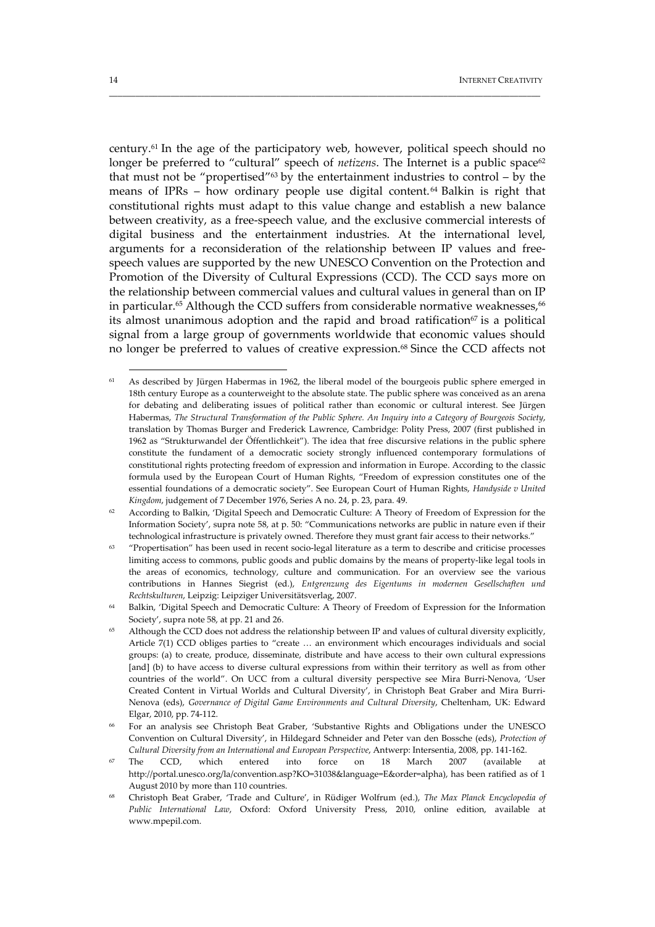century.61 In the age of the participatory web, however, political speech should no longer be preferred to "cultural" speech of *netizens*. The Internet is a public space<sup>62</sup> that must not be "propertised"<sup>63</sup> by the entertainment industries to control – by the means of IPRs – how ordinary people use digital content.<sup>64</sup> Balkin is right that constitutional rights must adapt to this value change and establish a new balance between creativity, as a free‐speech value, and the exclusive commercial interests of digital business and the entertainment industries. At the international level, arguments for a reconsideration of the relationship between IP values and free‐ speech values are supported by the new UNESCO Convention on the Protection and Promotion of the Diversity of Cultural Expressions (CCD). The CCD says more on the relationship between commercial values and cultural values in general than on IP in particular.<sup>65</sup> Although the CCD suffers from considerable normative weaknesses,<sup>66</sup> its almost unanimous adoption and the rapid and broad ratification $67$  is a political signal from a large group of governments worldwide that economic values should no longer be preferred to values of creative expression.68 Since the CCD affects not

\_\_\_\_\_\_\_\_\_\_\_\_\_\_\_\_\_\_\_\_\_\_\_\_\_\_\_\_\_\_\_\_\_\_\_\_\_\_\_\_\_\_\_\_\_\_\_\_\_\_\_\_\_\_\_\_\_\_\_\_\_\_\_\_\_\_\_\_\_\_\_\_\_\_\_\_\_\_\_\_\_\_\_\_\_\_\_\_\_\_\_\_\_\_\_\_\_\_

As described by Jürgen Habermas in 1962, the liberal model of the bourgeois public sphere emerged in 18th century Europe as a counterweight to the absolute state. The public sphere was conceived as an arena for debating and deliberating issues of political rather than economic or cultural interest. See Jürgen Habermas, *The Structural Transformation of the Public Sphere. An Inquiry into a Category of Bourgeois Society*, translation by Thomas Burger and Frederick Lawrence, Cambridge: Polity Press, 2007 (first published in 1962 as "Strukturwandel der Öffentlichkeit"). The idea that free discursive relations in the public sphere constitute the fundament of a democratic society strongly influenced contemporary formulations of constitutional rights protecting freedom of expression and information in Europe. According to the classic formula used by the European Court of Human Rights, "Freedom of expression constitutes one of the essential foundations of a democratic society". See European Court of Human Rights, *Handyside v United Kingdom*, judgement of 7 December 1976, Series A no. 24, p. 23, para. 49.

According to Balkin, 'Digital Speech and Democratic Culture: A Theory of Freedom of Expression for the Information Society', supra note 58, at p. 50: "Communications networks are public in nature even if their technological infrastructure is privately owned. Therefore they must grant fair access to their networks."

<sup>63</sup> "Propertisation" has been used in recent socio‐legal literature as a term to describe and criticise processes limiting access to commons, public goods and public domains by the means of property‐like legal tools in the areas of economics, technology, culture and communication. For an overview see the various contributions in Hannes Siegrist (ed.), *Entgrenzung des Eigentums in modernen Gesellschaften und Rechtskulturen*, Leipzig: Leipziger Universitätsverlag, 2007.

<sup>&</sup>lt;sup>64</sup> Balkin, 'Digital Speech and Democratic Culture: A Theory of Freedom of Expression for the Information Society', supra note 58, at pp. 21 and 26.

<sup>65</sup> Although the CCD does not address the relationship between IP and values of cultural diversity explicitly, Article 7(1) CCD obliges parties to "create … an environment which encourages individuals and social groups: (a) to create, produce, disseminate, distribute and have access to their own cultural expressions [and] (b) to have access to diverse cultural expressions from within their territory as well as from other countries of the world". On UCC from a cultural diversity perspective see Mira Burri‐Nenova, 'User Created Content in Virtual Worlds and Cultural Diversity', in Christoph Beat Graber and Mira Burri‐ Nenova (eds), *Governance of Digital Game Environments and Cultural Diversity*, Cheltenham, UK: Edward Elgar, 2010, pp. 74‐112.

<sup>66</sup> For an analysis see Christoph Beat Graber, 'Substantive Rights and Obligations under the UNESCO Convention on Cultural Diversity', in Hildegard Schneider and Peter van den Bossche (eds), *Protection of Cultural Diversity from an International and European Perspective*, Antwerp: Intersentia, 2008, pp. 141‐162.

<sup>67</sup> The CCD, which entered into force on 18 March 2007 (available at http://portal.unesco.org/la/convention.asp?KO=31038&language=E&order=alpha), has been ratified as of 1 August 2010 by more than 110 countries.

<sup>68</sup> Christoph Beat Graber, 'Trade and Culture', in Rüdiger Wolfrum (ed.), *The Max Planck Encyclopedia of Public International Law*, Oxford: Oxford University Press, 2010, online edition, available at www.mpepil.com.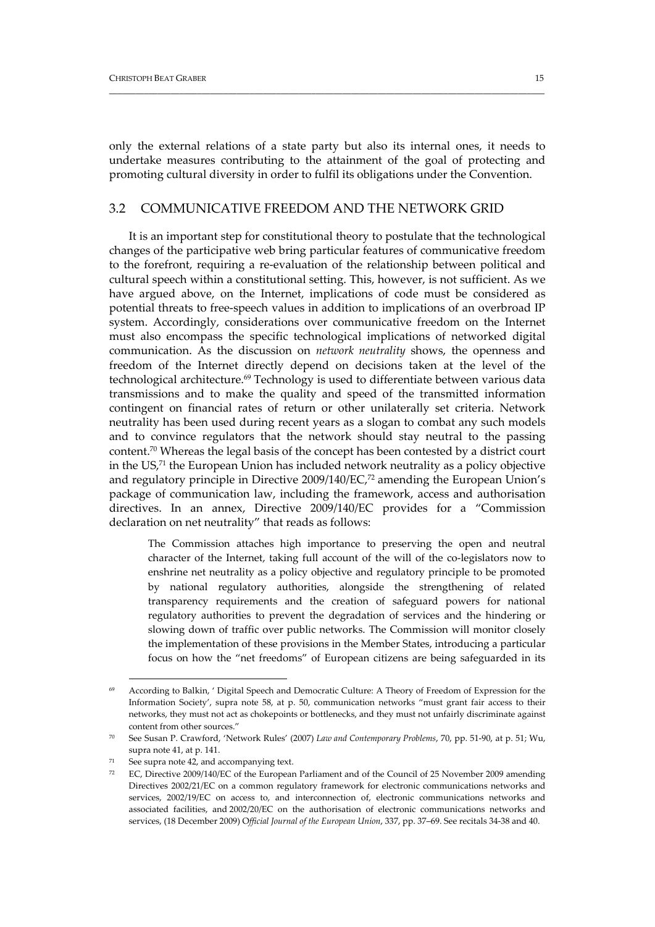only the external relations of a state party but also its internal ones, it needs to undertake measures contributing to the attainment of the goal of protecting and promoting cultural diversity in order to fulfil its obligations under the Convention.

\_\_\_\_\_\_\_\_\_\_\_\_\_\_\_\_\_\_\_\_\_\_\_\_\_\_\_\_\_\_\_\_\_\_\_\_\_\_\_\_\_\_\_\_\_\_\_\_\_\_\_\_\_\_\_\_\_\_\_\_\_\_\_\_\_\_\_\_\_\_\_\_\_\_\_\_\_\_\_\_\_\_\_\_\_\_\_\_\_\_\_\_\_\_\_\_\_\_\_

#### 3.2 COMMUNICATIVE FREEDOM AND THE NETWORK GRID

It is an important step for constitutional theory to postulate that the technological changes of the participative web bring particular features of communicative freedom to the forefront, requiring a re‐evaluation of the relationship between political and cultural speech within a constitutional setting. This, however, is not sufficient. As we have argued above, on the Internet, implications of code must be considered as potential threats to free‐speech values in addition to implications of an overbroad IP system. Accordingly, considerations over communicative freedom on the Internet must also encompass the specific technological implications of networked digital communication. As the discussion on *network neutrality* shows, the openness and freedom of the Internet directly depend on decisions taken at the level of the technological architecture.<sup>69</sup> Technology is used to differentiate between various data transmissions and to make the quality and speed of the transmitted information contingent on financial rates of return or other unilaterally set criteria. Network neutrality has been used during recent years as a slogan to combat any such models and to convince regulators that the network should stay neutral to the passing content.70 Whereas the legal basis of the concept has been contested by a district court in the US,71 the European Union has included network neutrality as a policy objective and regulatory principle in Directive 2009/140/EC,72 amending the European Union's package of communication law, including the framework, access and authorisation directives. In an annex, Directive 2009/140/EC provides for a "Commission declaration on net neutrality" that reads as follows:

The Commission attaches high importance to preserving the open and neutral character of the Internet, taking full account of the will of the co-legislators now to enshrine net neutrality as a policy objective and regulatory principle to be promoted by national regulatory authorities, alongside the strengthening of related transparency requirements and the creation of safeguard powers for national regulatory authorities to prevent the degradation of services and the hindering or slowing down of traffic over public networks. The Commission will monitor closely the implementation of these provisions in the Member States, introducing a particular focus on how the "net freedoms" of European citizens are being safeguarded in its

According to Balkin, ' Digital Speech and Democratic Culture: A Theory of Freedom of Expression for the Information Society', supra note 58, at p. 50, communication networks "must grant fair access to their networks, they must not act as chokepoints or bottlenecks, and they must not unfairly discriminate against content from other sources."

<sup>70</sup> See Susan P. Crawford, 'Network Rules' (2007) *Law and Contemporary Problems*, 70, pp. 51‐90, at p. 51; Wu, supra note 41, at p. 141.

 $71$  See supra note 42, and accompanying text.

<sup>72</sup> EC, Directive 2009/140/EC of the European Parliament and of the Council of 25 November 2009 amending Directives 2002/21/EC on a common regulatory framework for electronic communications networks and services, 2002/19/EC on access to, and interconnection of, electronic communications networks and associated facilities, and 2002/20/EC on the authorisation of electronic communications networks and services, (18 December 2009) O*fficial Journal of the European Union*, 337, pp. 37–69. See recitals 34‐38 and 40.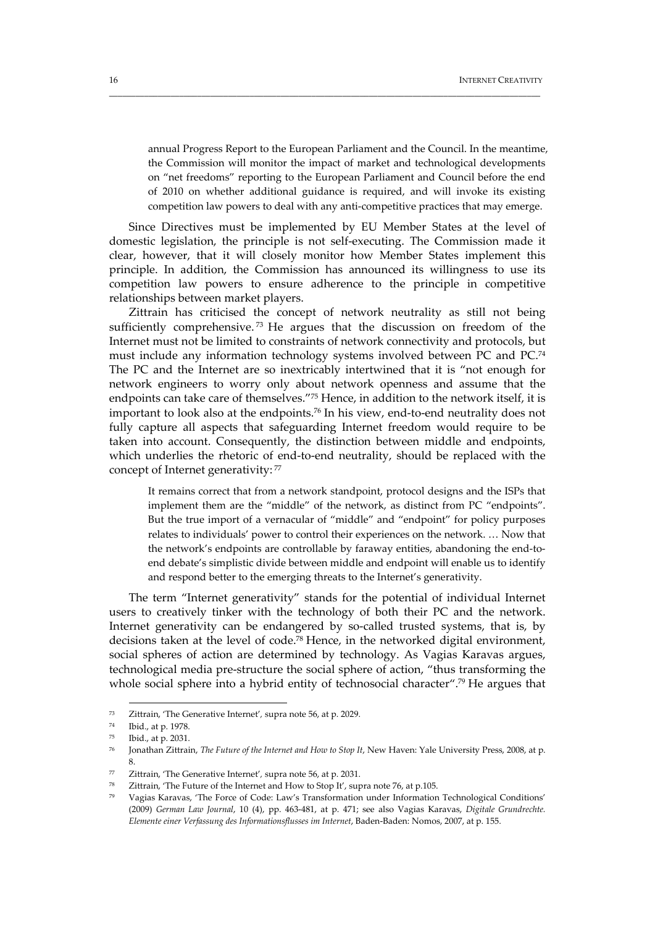annual Progress Report to the European Parliament and the Council. In the meantime, the Commission will monitor the impact of market and technological developments on "net freedoms" reporting to the European Parliament and Council before the end of 2010 on whether additional guidance is required, and will invoke its existing competition law powers to deal with any anti‐competitive practices that may emerge.

Since Directives must be implemented by EU Member States at the level of domestic legislation, the principle is not self‐executing. The Commission made it clear, however, that it will closely monitor how Member States implement this principle. In addition, the Commission has announced its willingness to use its competition law powers to ensure adherence to the principle in competitive relationships between market players.

\_\_\_\_\_\_\_\_\_\_\_\_\_\_\_\_\_\_\_\_\_\_\_\_\_\_\_\_\_\_\_\_\_\_\_\_\_\_\_\_\_\_\_\_\_\_\_\_\_\_\_\_\_\_\_\_\_\_\_\_\_\_\_\_\_\_\_\_\_\_\_\_\_\_\_\_\_\_\_\_\_\_\_\_\_\_\_\_\_\_\_\_\_\_\_\_\_\_

Zittrain has criticised the concept of network neutrality as still not being sufficiently comprehensive.<sup>73</sup> He argues that the discussion on freedom of the Internet must not be limited to constraints of network connectivity and protocols, but must include any information technology systems involved between PC and PC.74 The PC and the Internet are so inextricably intertwined that it is "not enough for network engineers to worry only about network openness and assume that the endpoints can take care of themselves."75 Hence, in addition to the network itself, it is important to look also at the endpoints.<sup>76</sup> In his view, end-to-end neutrality does not fully capture all aspects that safeguarding Internet freedom would require to be taken into account. Consequently, the distinction between middle and endpoints, which underlies the rhetoric of end-to-end neutrality, should be replaced with the concept of Internet generativity: 77

It remains correct that from a network standpoint, protocol designs and the ISPs that implement them are the "middle" of the network, as distinct from PC "endpoints". But the true import of a vernacular of "middle" and "endpoint" for policy purposes relates to individuals' power to control their experiences on the network. … Now that the network's endpoints are controllable by faraway entities, abandoning the end-toend debate's simplistic divide between middle and endpoint will enable us to identify and respond better to the emerging threats to the Internet's generativity.

The term "Internet generativity" stands for the potential of individual Internet users to creatively tinker with the technology of both their PC and the network. Internet generativity can be endangered by so-called trusted systems, that is, by decisions taken at the level of code.78 Hence, in the networked digital environment, social spheres of action are determined by technology. As Vagias Karavas argues, technological media pre‐structure the social sphere of action, "thus transforming the whole social sphere into a hybrid entity of technosocial character".<sup>79</sup> He argues that

<u> 1989 - Johann Barn, mars eta bainar eta industrial eta baina eta baina eta baina eta baina eta baina eta bain</u>

<sup>73</sup> Zittrain, 'The Generative Internet'*,* supra note 56, at p. 2029.

<sup>74</sup> Ibid., at p. 1978.

<sup>75</sup> Ibid., at p. 2031.

<sup>76</sup> Jonathan Zittrain, *The Future of the Internet and How to Stop It*, New Haven: Yale University Press, 2008, at p. 8.

<sup>77</sup> Zittrain, 'The Generative Internet'*,* supra note 56, at p. 2031.

Zittrain, 'The Future of the Internet and How to Stop It', supra note 76, at p.105.

<sup>79</sup> Vagias Karavas, 'The Force of Code: Law's Transformation under Information Technological Conditions' (2009) *German Law Journal*, 10 (4), pp. 463‐481, at p. 471; see also Vagias Karavas, *Digitale Grundrechte. Elemente einer Verfassung des Informationsflusses im Internet*, Baden‐Baden: Nomos, 2007, at p. 155.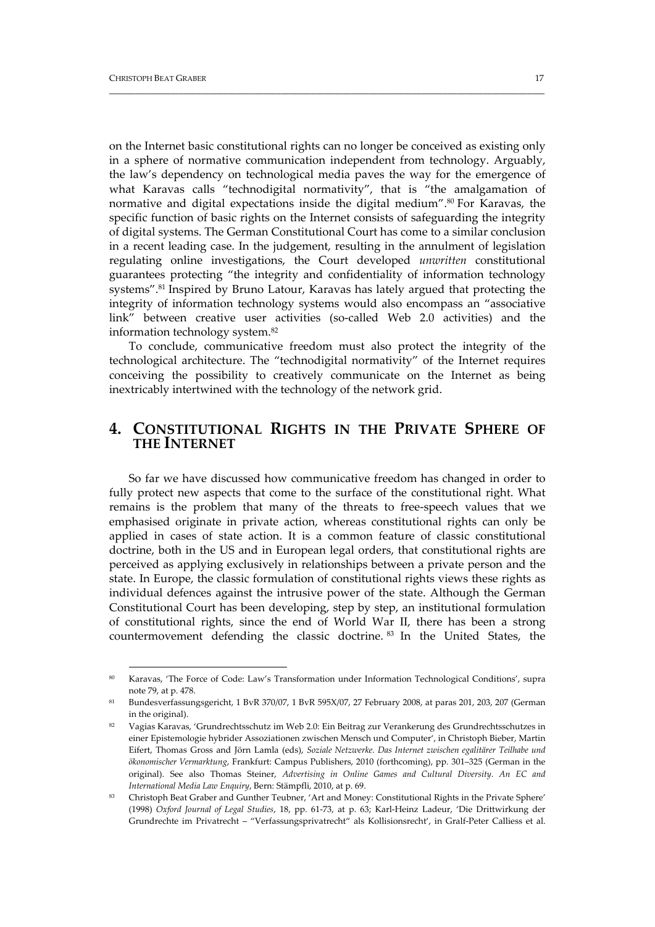on the Internet basic constitutional rights can no longer be conceived as existing only in a sphere of normative communication independent from technology. Arguably, the law's dependency on technological media paves the way for the emergence of what Karavas calls "technodigital normativity", that is "the amalgamation of normative and digital expectations inside the digital medium".<sup>80</sup> For Karavas, the specific function of basic rights on the Internet consists of safeguarding the integrity of digital systems. The German Constitutional Court has come to a similar conclusion in a recent leading case. In the judgement, resulting in the annulment of legislation regulating online investigations, the Court developed *unwritten* constitutional guarantees protecting "the integrity and confidentiality of information technology systems".81 Inspired by Bruno Latour, Karavas has lately argued that protecting the integrity of information technology systems would also encompass an "associative link" between creative user activities (so-called Web 2.0 activities) and the information technology system.82

\_\_\_\_\_\_\_\_\_\_\_\_\_\_\_\_\_\_\_\_\_\_\_\_\_\_\_\_\_\_\_\_\_\_\_\_\_\_\_\_\_\_\_\_\_\_\_\_\_\_\_\_\_\_\_\_\_\_\_\_\_\_\_\_\_\_\_\_\_\_\_\_\_\_\_\_\_\_\_\_\_\_\_\_\_\_\_\_\_\_\_\_\_\_\_\_\_\_\_

To conclude, communicative freedom must also protect the integrity of the technological architecture. The "technodigital normativity" of the Internet requires conceiving the possibility to creatively communicate on the Internet as being inextricably intertwined with the technology of the network grid.

# **4. CONSTITUTIONAL RIGHTS IN THE PRIVATE SPHERE OF THE INTERNET**

So far we have discussed how communicative freedom has changed in order to fully protect new aspects that come to the surface of the constitutional right. What remains is the problem that many of the threats to free‐speech values that we emphasised originate in private action, whereas constitutional rights can only be applied in cases of state action. It is a common feature of classic constitutional doctrine, both in the US and in European legal orders, that constitutional rights are perceived as applying exclusively in relationships between a private person and the state. In Europe, the classic formulation of constitutional rights views these rights as individual defences against the intrusive power of the state. Although the German Constitutional Court has been developing, step by step, an institutional formulation of constitutional rights, since the end of World War II, there has been a strong countermovement defending the classic doctrine. <sup>83</sup> In the United States, the

<sup>80</sup> Karavas, 'The Force of Code: Law's Transformation under Information Technological Conditions', supra note 79, at p. 478.

<sup>81</sup> Bundesverfassungsgericht, 1 BvR 370/07, 1 BvR 595X/07, 27 February 2008, at paras 201, 203, 207 (German in the original).

<sup>82</sup> Vagias Karavas, 'Grundrechtsschutz im Web 2.0: Ein Beitrag zur Verankerung des Grundrechtsschutzes in einer Epistemologie hybrider Assoziationen zwischen Mensch und Computer', in Christoph Bieber, Martin Eifert, Thomas Gross and Jörn Lamla (eds), *Soziale Netzwerke. Das Internet zwischen egalitärer Teilhabe und ökonomischer Vermarktung*, Frankfurt: Campus Publishers, 2010 (forthcoming), pp. 301–325 (German in the original). See also Thomas Steiner, *Advertising in Online Games and Cultural Diversity. An EC and International Media Law Enquiry*, Bern: Stämpfli, 2010, at p. 69.

<sup>83</sup> Christoph Beat Graber and Gunther Teubner, 'Art and Money: Constitutional Rights in the Private Sphere' (1998) *Oxford Journal of Legal Studies*, 18, pp. 61‐73, at p. 63; Karl‐Heinz Ladeur, 'Die Drittwirkung der Grundrechte im Privatrecht – "Verfassungsprivatrecht" als Kollisionsrecht', in Gralf‐Peter Calliess et al.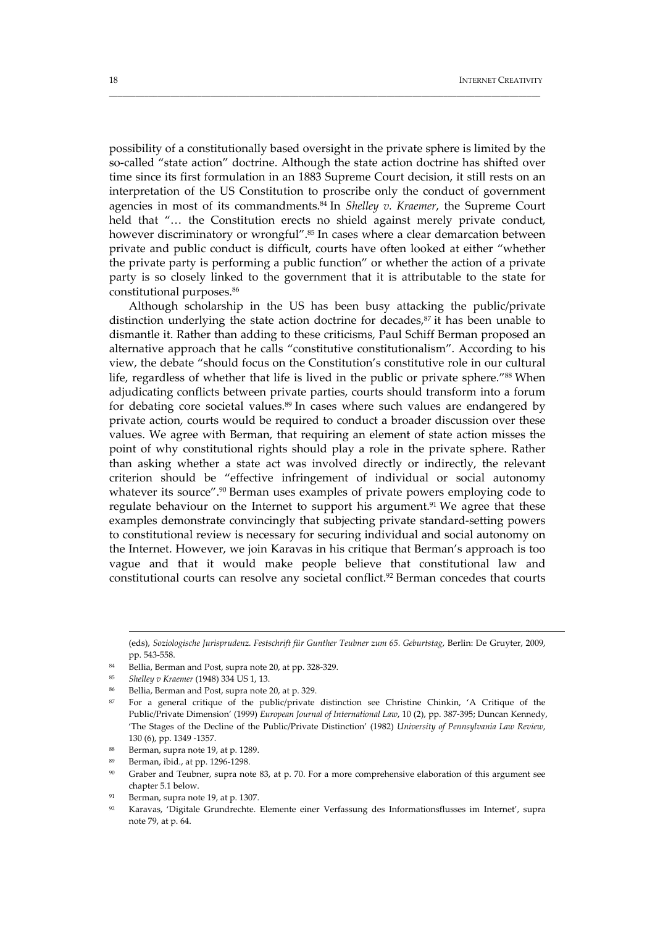possibility of a constitutionally based oversight in the private sphere is limited by the so-called "state action" doctrine. Although the state action doctrine has shifted over time since its first formulation in an 1883 Supreme Court decision, it still rests on an interpretation of the US Constitution to proscribe only the conduct of government agencies in most of its commandments.84 In *Shelley v. Kraemer*, the Supreme Court held that "... the Constitution erects no shield against merely private conduct, however discriminatory or wrongful".<sup>85</sup> In cases where a clear demarcation between private and public conduct is difficult, courts have often looked at either "whether the private party is performing a public function" or whether the action of a private party is so closely linked to the government that it is attributable to the state for constitutional purposes.86

\_\_\_\_\_\_\_\_\_\_\_\_\_\_\_\_\_\_\_\_\_\_\_\_\_\_\_\_\_\_\_\_\_\_\_\_\_\_\_\_\_\_\_\_\_\_\_\_\_\_\_\_\_\_\_\_\_\_\_\_\_\_\_\_\_\_\_\_\_\_\_\_\_\_\_\_\_\_\_\_\_\_\_\_\_\_\_\_\_\_\_\_\_\_\_\_\_\_

Although scholarship in the US has been busy attacking the public/private distinction underlying the state action doctrine for decades, $87$  it has been unable to dismantle it. Rather than adding to these criticisms, Paul Schiff Berman proposed an alternative approach that he calls "constitutive constitutionalism". According to his view, the debate "should focus on the Constitution's constitutive role in our cultural life, regardless of whether that life is lived in the public or private sphere."<sup>88</sup> When adjudicating conflicts between private parties, courts should transform into a forum for debating core societal values.<sup>89</sup> In cases where such values are endangered by private action, courts would be required to conduct a broader discussion over these values. We agree with Berman, that requiring an element of state action misses the point of why constitutional rights should play a role in the private sphere. Rather than asking whether a state act was involved directly or indirectly, the relevant criterion should be "effective infringement of individual or social autonomy whatever its source".<sup>90</sup> Berman uses examples of private powers employing code to regulate behaviour on the Internet to support his argument.<sup>91</sup> We agree that these examples demonstrate convincingly that subjecting private standard-setting powers to constitutional review is necessary for securing individual and social autonomy on the Internet. However, we join Karavas in his critique that Berman's approach is too vague and that it would make people believe that constitutional law and constitutional courts can resolve any societal conflict.<sup>92</sup> Berman concedes that courts

<sup>(</sup>eds), *Soziologische Jurisprudenz. Festschrift für Gunther Teubner zum 65. Geburtstag*, Berlin: De Gruyter, 2009, pp. 543‐558.

<sup>84</sup> Bellia, Berman and Post, supra note 20, at pp. 328-329.

<sup>85</sup> *Shelley v Kraemer* (1948) 334 US 1, 13.

Bellia, Berman and Post, supra note 20, at p. 329.

<sup>87</sup> For a general critique of the public/private distinction see Christine Chinkin, 'A Critique of the Public/Private Dimension' (1999) *European Journal of International Law*, 10 (2), pp. 387‐395; Duncan Kennedy, 'The Stages of the Decline of the Public/Private Distinction' (1982) *University of Pennsylvania Law Review*, 130 (6), pp. 1349 ‐1357.

<sup>88</sup> Berman, supra note 19, at p. 1289.

<sup>89</sup> Berman, ibid., at pp. 1296‐1298.

<sup>90</sup> Graber and Teubner, supra note 83, at p. 70. For a more comprehensive elaboration of this argument see chapter 5.1 below.

<sup>91</sup> Berman, supra note 19, at p. 1307.

<sup>92</sup> Karavas, 'Digitale Grundrechte. Elemente einer Verfassung des Informationsflusses im Internet', supra note 79, at p. 64.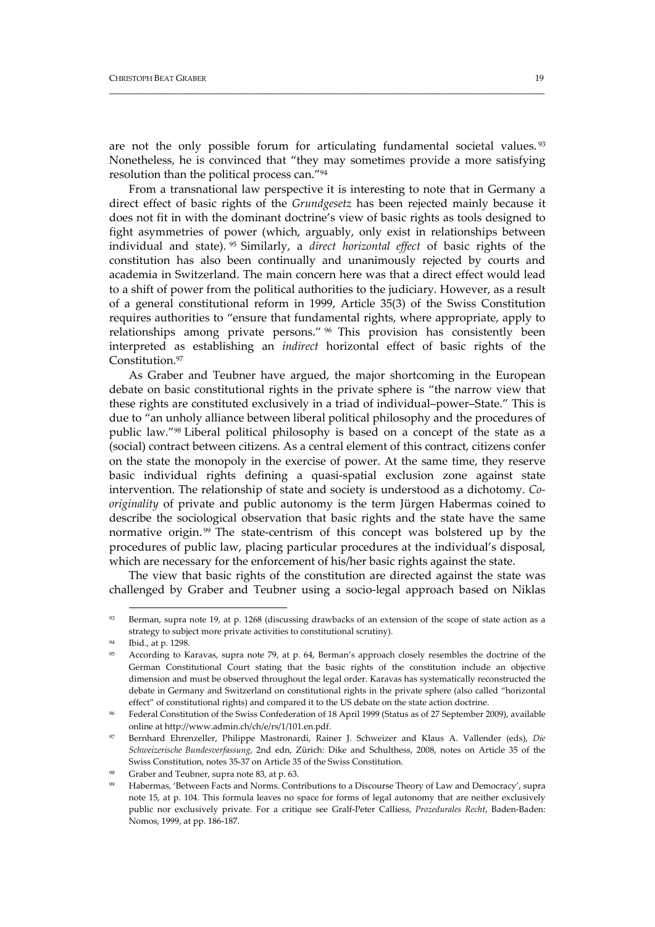are not the only possible forum for articulating fundamental societal values.<sup>93</sup> Nonetheless, he is convinced that "they may sometimes provide a more satisfying resolution than the political process can."94

\_\_\_\_\_\_\_\_\_\_\_\_\_\_\_\_\_\_\_\_\_\_\_\_\_\_\_\_\_\_\_\_\_\_\_\_\_\_\_\_\_\_\_\_\_\_\_\_\_\_\_\_\_\_\_\_\_\_\_\_\_\_\_\_\_\_\_\_\_\_\_\_\_\_\_\_\_\_\_\_\_\_\_\_\_\_\_\_\_\_\_\_\_\_\_\_\_\_\_

From a transnational law perspective it is interesting to note that in Germany a direct effect of basic rights of the *Grundgesetz* has been rejected mainly because it does not fit in with the dominant doctrine's view of basic rights as tools designed to fight asymmetries of power (which, arguably, only exist in relationships between individual and state). <sup>95</sup> Similarly, a *direct horizontal effect* of basic rights of the constitution has also been continually and unanimously rejected by courts and academia in Switzerland. The main concern here was that a direct effect would lead to a shift of power from the political authorities to the judiciary. However, as a result of a general constitutional reform in 1999, Article 35(3) of the Swiss Constitution requires authorities to "ensure that fundamental rights, where appropriate, apply to relationships among private persons." <sup>96</sup> This provision has consistently been interpreted as establishing an *indirect* horizontal effect of basic rights of the Constitution.<sup>97</sup>

As Graber and Teubner have argued, the major shortcoming in the European debate on basic constitutional rights in the private sphere is "the narrow view that these rights are constituted exclusively in a triad of individual–power–State." This is due to "an unholy alliance between liberal political philosophy and the procedures of public law."98 Liberal political philosophy is based on a concept of the state as a (social) contract between citizens. As a central element of this contract, citizens confer on the state the monopoly in the exercise of power. At the same time, they reserve basic individual rights defining a quasi‐spatial exclusion zone against state intervention. The relationship of state and society is understood as a dichotomy. *Co‐ originality* of private and public autonomy is the term Jürgen Habermas coined to describe the sociological observation that basic rights and the state have the same normative origin.<sup>99</sup> The state-centrism of this concept was bolstered up by the procedures of public law, placing particular procedures at the individual's disposal, which are necessary for the enforcement of his/her basic rights against the state.

The view that basic rights of the constitution are directed against the state was challenged by Graber and Teubner using a socio‐legal approach based on Niklas

Berman, supra note 19, at p. 1268 (discussing drawbacks of an extension of the scope of state action as a strategy to subject more private activities to constitutional scrutiny).

Ibid., at p. 1298.

According to Karavas, supra note 79, at p. 64, Berman's approach closely resembles the doctrine of the German Constitutional Court stating that the basic rights of the constitution include an objective dimension and must be observed throughout the legal order. Karavas has systematically reconstructed the debate in Germany and Switzerland on constitutional rights in the private sphere (also called "horizontal effect" of constitutional rights) and compared it to the US debate on the state action doctrine.

<sup>96</sup> Federal Constitution of the Swiss Confederation of 18 April 1999 (Status as of 27 September 2009), available online at http://www.admin.ch/ch/e/rs/1/101.en.pdf.

<sup>97</sup> Bernhard Ehrenzeller, Philippe Mastronardi, Rainer J. Schweizer and Klaus A. Vallender (eds), *Die Schweizerische Bundesverfassung*, 2nd edn, Zürich: Dike and Schulthess, 2008, notes on Article 35 of the Swiss Constitution, notes 35‐37 on Article 35 of the Swiss Constitution.

Graber and Teubner, supra note 83, at p. 63.

Habermas, 'Between Facts and Norms. Contributions to a Discourse Theory of Law and Democracy', supra note 15, at p. 104. This formula leaves no space for forms of legal autonomy that are neither exclusively public nor exclusively private. For a critique see Gralf‐Peter Calliess, *Prozedurales Recht*, Baden‐Baden: Nomos, 1999, at pp. 186‐187.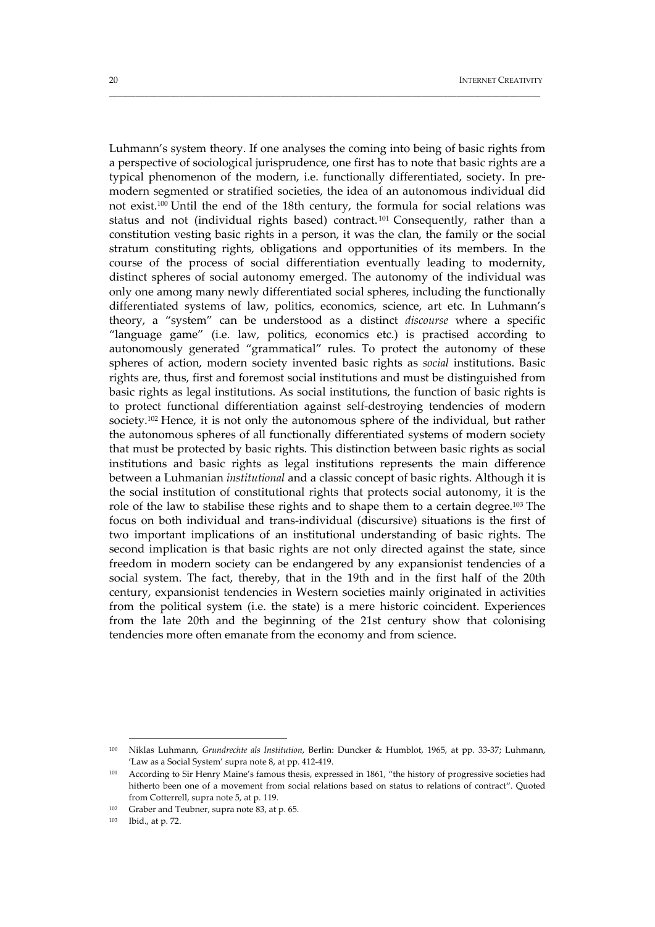Luhmann's system theory. If one analyses the coming into being of basic rights from a perspective of sociological jurisprudence, one first has to note that basic rights are a typical phenomenon of the modern, i.e. functionally differentiated, society. In pre‐ modern segmented or stratified societies, the idea of an autonomous individual did not exist.100 Until the end of the 18th century, the formula for social relations was status and not (individual rights based) contract.<sup>101</sup> Consequently, rather than a constitution vesting basic rights in a person, it was the clan, the family or the social stratum constituting rights, obligations and opportunities of its members. In the course of the process of social differentiation eventually leading to modernity, distinct spheres of social autonomy emerged. The autonomy of the individual was only one among many newly differentiated social spheres, including the functionally differentiated systems of law, politics, economics, science, art etc. In Luhmann's theory, a "system" can be understood as a distinct *discourse* where a specific "language game" (i.e. law, politics, economics etc.) is practised according to autonomously generated "grammatical" rules. To protect the autonomy of these spheres of action, modern society invented basic rights as *social* institutions. Basic rights are, thus, first and foremost social institutions and must be distinguished from basic rights as legal institutions. As social institutions, the function of basic rights is to protect functional differentiation against self‐destroying tendencies of modern society.102 Hence, it is not only the autonomous sphere of the individual, but rather the autonomous spheres of all functionally differentiated systems of modern society that must be protected by basic rights. This distinction between basic rights as social institutions and basic rights as legal institutions represents the main difference between a Luhmanian *institutional* and a classic concept of basic rights. Although it is the social institution of constitutional rights that protects social autonomy, it is the role of the law to stabilise these rights and to shape them to a certain degree.103 The focus on both individual and trans‐individual (discursive) situations is the first of two important implications of an institutional understanding of basic rights. The second implication is that basic rights are not only directed against the state, since freedom in modern society can be endangered by any expansionist tendencies of a social system. The fact, thereby, that in the 19th and in the first half of the 20th century, expansionist tendencies in Western societies mainly originated in activities from the political system (i.e. the state) is a mere historic coincident. Experiences from the late 20th and the beginning of the 21st century show that colonising tendencies more often emanate from the economy and from science.

\_\_\_\_\_\_\_\_\_\_\_\_\_\_\_\_\_\_\_\_\_\_\_\_\_\_\_\_\_\_\_\_\_\_\_\_\_\_\_\_\_\_\_\_\_\_\_\_\_\_\_\_\_\_\_\_\_\_\_\_\_\_\_\_\_\_\_\_\_\_\_\_\_\_\_\_\_\_\_\_\_\_\_\_\_\_\_\_\_\_\_\_\_\_\_\_\_\_

<sup>100</sup> Niklas Luhmann, *Grundrechte als Institution*, Berlin: Duncker & Humblot, 1965, at pp. 33‐37; Luhmann, 'Law as a Social System' supra note 8, at pp. 412‐419.

<sup>&</sup>lt;sup>101</sup> According to Sir Henry Maine's famous thesis, expressed in 1861, "the history of progressive societies had hitherto been one of a movement from social relations based on status to relations of contract". Quoted from Cotterrell, supra note 5, at p. 119.

<sup>102</sup> Graber and Teubner, supra note 83, at p. 65.

<sup>103</sup> Ibid., at p. 72.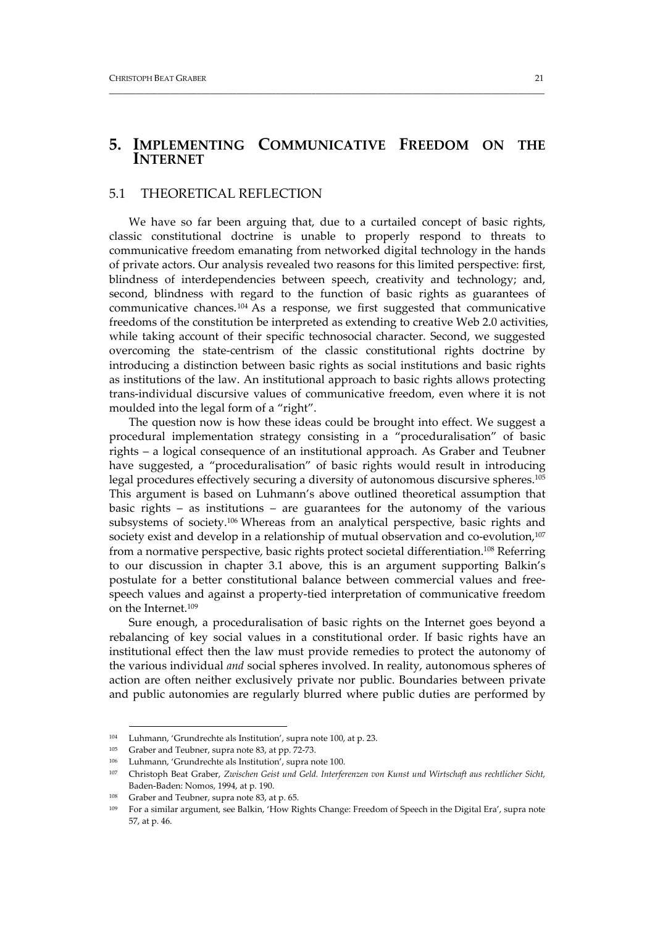## **5. IMPLEMENTING COMMUNICATIVE FREEDOM ON THE INTERNET**

\_\_\_\_\_\_\_\_\_\_\_\_\_\_\_\_\_\_\_\_\_\_\_\_\_\_\_\_\_\_\_\_\_\_\_\_\_\_\_\_\_\_\_\_\_\_\_\_\_\_\_\_\_\_\_\_\_\_\_\_\_\_\_\_\_\_\_\_\_\_\_\_\_\_\_\_\_\_\_\_\_\_\_\_\_\_\_\_\_\_\_\_\_\_\_\_\_\_\_

#### 5.1 THEORETICAL REFLECTION

We have so far been arguing that, due to a curtailed concept of basic rights, classic constitutional doctrine is unable to properly respond to threats to communicative freedom emanating from networked digital technology in the hands of private actors. Our analysis revealed two reasons for this limited perspective: first, blindness of interdependencies between speech, creativity and technology; and, second, blindness with regard to the function of basic rights as guarantees of communicative chances.<sup>104</sup> As a response, we first suggested that communicative freedoms of the constitution be interpreted as extending to creative Web 2.0 activities, while taking account of their specific technosocial character. Second, we suggested overcoming the state‐centrism of the classic constitutional rights doctrine by introducing a distinction between basic rights as social institutions and basic rights as institutions of the law. An institutional approach to basic rights allows protecting trans‐individual discursive values of communicative freedom, even where it is not moulded into the legal form of a "right".

The question now is how these ideas could be brought into effect. We suggest a procedural implementation strategy consisting in a "proceduralisation" of basic rights – a logical consequence of an institutional approach. As Graber and Teubner have suggested, a "proceduralisation" of basic rights would result in introducing legal procedures effectively securing a diversity of autonomous discursive spheres.105 This argument is based on Luhmann's above outlined theoretical assumption that basic rights – as institutions – are guarantees for the autonomy of the various subsystems of society.106 Whereas from an analytical perspective, basic rights and society exist and develop in a relationship of mutual observation and co-evolution,<sup>107</sup> from a normative perspective, basic rights protect societal differentiation.<sup>108</sup> Referring to our discussion in chapter 3.1 above, this is an argument supporting Balkin's postulate for a better constitutional balance between commercial values and free‐ speech values and against a property‐tied interpretation of communicative freedom on the Internet.109

Sure enough, a proceduralisation of basic rights on the Internet goes beyond a rebalancing of key social values in a constitutional order. If basic rights have an institutional effect then the law must provide remedies to protect the autonomy of the various individual *and* social spheres involved. In reality, autonomous spheres of action are often neither exclusively private nor public. Boundaries between private and public autonomies are regularly blurred where public duties are performed by

<sup>104</sup> Luhmann, 'Grundrechte als Institution', supra note 100, at p. 23.

<sup>105</sup> Graber and Teubner, supra note 83, at pp. 72‐73.

<sup>106</sup> Luhmann, 'Grundrechte als Institution', supra note 100.

<sup>107</sup> Christoph Beat Graber, *Zwischen Geist und Geld. Interferenzen von Kunst und Wirtschaft aus rechtlicher Sicht,* Baden‐Baden: Nomos, 1994, at p. 190.

<sup>108</sup> Graber and Teubner, supra note 83, at p. 65.

<sup>&</sup>lt;sup>109</sup> For a similar argument, see Balkin, 'How Rights Change: Freedom of Speech in the Digital Era', supra note 57, at p. 46.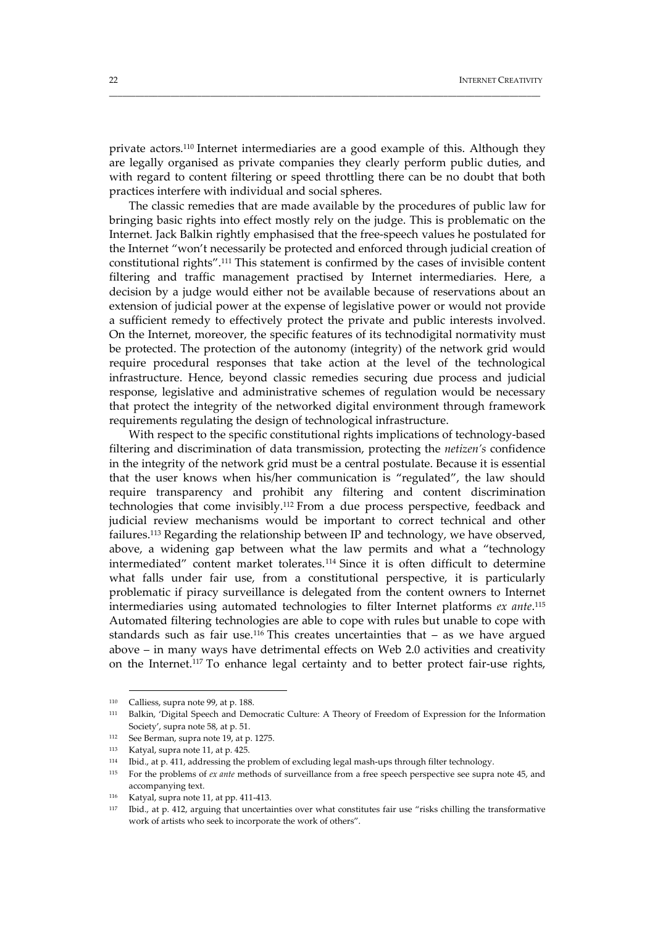private actors.110 Internet intermediaries are a good example of this. Although they are legally organised as private companies they clearly perform public duties, and with regard to content filtering or speed throttling there can be no doubt that both practices interfere with individual and social spheres.

\_\_\_\_\_\_\_\_\_\_\_\_\_\_\_\_\_\_\_\_\_\_\_\_\_\_\_\_\_\_\_\_\_\_\_\_\_\_\_\_\_\_\_\_\_\_\_\_\_\_\_\_\_\_\_\_\_\_\_\_\_\_\_\_\_\_\_\_\_\_\_\_\_\_\_\_\_\_\_\_\_\_\_\_\_\_\_\_\_\_\_\_\_\_\_\_\_\_

The classic remedies that are made available by the procedures of public law for bringing basic rights into effect mostly rely on the judge. This is problematic on the Internet. Jack Balkin rightly emphasised that the free‐speech values he postulated for the Internet "won't necessarily be protected and enforced through judicial creation of constitutional rights".111 This statement is confirmed by the cases of invisible content filtering and traffic management practised by Internet intermediaries. Here, a decision by a judge would either not be available because of reservations about an extension of judicial power at the expense of legislative power or would not provide a sufficient remedy to effectively protect the private and public interests involved. On the Internet, moreover, the specific features of its technodigital normativity must be protected. The protection of the autonomy (integrity) of the network grid would require procedural responses that take action at the level of the technological infrastructure. Hence, beyond classic remedies securing due process and judicial response, legislative and administrative schemes of regulation would be necessary that protect the integrity of the networked digital environment through framework requirements regulating the design of technological infrastructure.

With respect to the specific constitutional rights implications of technology‐based filtering and discrimination of data transmission, protecting the *netizen's* confidence in the integrity of the network grid must be a central postulate. Because it is essential that the user knows when his/her communication is "regulated", the law should require transparency and prohibit any filtering and content discrimination technologies that come invisibly.112 From a due process perspective, feedback and judicial review mechanisms would be important to correct technical and other failures.113 Regarding the relationship between IP and technology, we have observed, above, a widening gap between what the law permits and what a "technology intermediated" content market tolerates.114 Since it is often difficult to determine what falls under fair use, from a constitutional perspective, it is particularly problematic if piracy surveillance is delegated from the content owners to Internet intermediaries using automated technologies to filter Internet platforms *ex ante*. 115 Automated filtering technologies are able to cope with rules but unable to cope with standards such as fair use.<sup>116</sup> This creates uncertainties that  $-$  as we have argued above – in many ways have detrimental effects on Web 2.0 activities and creativity on the Internet.<sup>117</sup> To enhance legal certainty and to better protect fair-use rights,

<sup>110</sup> Calliess, supra note 99, at p. 188.

<sup>111</sup> Balkin, 'Digital Speech and Democratic Culture: A Theory of Freedom of Expression for the Information Society', supra note 58, at p. 51.

<sup>112</sup> See Berman, supra note 19, at p. 1275.

<sup>113</sup> Katyal, supra note 11, at p. 425.

<sup>114</sup> Ibid., at p. 411, addressing the problem of excluding legal mash-ups through filter technology.

<sup>115</sup> For the problems of *ex ante* methods of surveillance from a free speech perspective see supra note 45, and accompanying text.

<sup>116</sup> Katyal, supra note 11, at pp. 411‐413.

<sup>117</sup> Ibid., at p. 412, arguing that uncertainties over what constitutes fair use "risks chilling the transformative work of artists who seek to incorporate the work of others".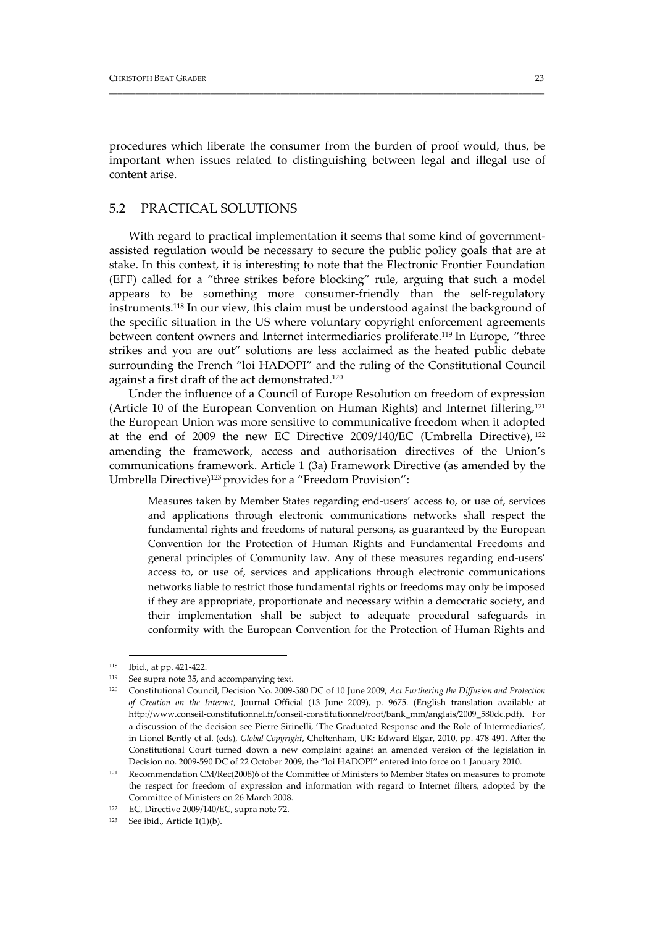procedures which liberate the consumer from the burden of proof would, thus, be important when issues related to distinguishing between legal and illegal use of content arise.

\_\_\_\_\_\_\_\_\_\_\_\_\_\_\_\_\_\_\_\_\_\_\_\_\_\_\_\_\_\_\_\_\_\_\_\_\_\_\_\_\_\_\_\_\_\_\_\_\_\_\_\_\_\_\_\_\_\_\_\_\_\_\_\_\_\_\_\_\_\_\_\_\_\_\_\_\_\_\_\_\_\_\_\_\_\_\_\_\_\_\_\_\_\_\_\_\_\_\_

## 5.2 PRACTICAL SOLUTIONS

With regard to practical implementation it seems that some kind of governmentassisted regulation would be necessary to secure the public policy goals that are at stake. In this context, it is interesting to note that the Electronic Frontier Foundation (EFF) called for a "three strikes before blocking" rule, arguing that such a model appears to be something more consumer-friendly than the self-regulatory instruments.118 In our view, this claim must be understood against the background of the specific situation in the US where voluntary copyright enforcement agreements between content owners and Internet intermediaries proliferate.119 In Europe, "three strikes and you are out" solutions are less acclaimed as the heated public debate surrounding the French "loi HADOPI" and the ruling of the Constitutional Council against a first draft of the act demonstrated.120

Under the influence of a Council of Europe Resolution on freedom of expression (Article 10 of the European Convention on Human Rights) and Internet filtering,121 the European Union was more sensitive to communicative freedom when it adopted at the end of 2009 the new EC Directive 2009/140/EC (Umbrella Directive), <sup>122</sup> amending the framework, access and authorisation directives of the Union's communications framework. Article 1 (3a) Framework Directive (as amended by the Umbrella Directive)<sup>123</sup> provides for a "Freedom Provision":

Measures taken by Member States regarding end‐users' access to, or use of, services and applications through electronic communications networks shall respect the fundamental rights and freedoms of natural persons, as guaranteed by the European Convention for the Protection of Human Rights and Fundamental Freedoms and general principles of Community law. Any of these measures regarding end‐users' access to, or use of, services and applications through electronic communications networks liable to restrict those fundamental rights or freedoms may only be imposed if they are appropriate, proportionate and necessary within a democratic society, and their implementation shall be subject to adequate procedural safeguards in conformity with the European Convention for the Protection of Human Rights and

<sup>118</sup> Ibid., at pp. 421‐422.

<sup>&</sup>lt;sup>119</sup> See supra note 35, and accompanying text.

<sup>120</sup> Constitutional Council, Decision No. 2009‐580 DC of 10 June 2009, *Act Furthering the Diffusion and Protection of Creation on the Internet*, Journal Official (13 June 2009), p. 9675. (English translation available at http://www.conseil‐constitutionnel.fr/conseil‐constitutionnel/root/bank\_mm/anglais/2009\_580dc.pdf). For a discussion of the decision see Pierre Sirinelli, 'The Graduated Response and the Role of Intermediaries', in Lionel Bently et al. (eds), *Global Copyright*, Cheltenham, UK: Edward Elgar, 2010, pp. 478‐491. After the Constitutional Court turned down a new complaint against an amended version of the legislation in Decision no. 2009‐590 DC of 22 October 2009, the "loi HADOPI" entered into force on 1 January 2010.

<sup>121</sup> Recommendation CM/Rec(2008)6 of the Committee of Ministers to Member States on measures to promote the respect for freedom of expression and information with regard to Internet filters, adopted by the Committee of Ministers on 26 March 2008.

<sup>122</sup> EC, Directive 2009/140/EC, supra note 72.

 $123$  See ibid., Article 1(1)(b).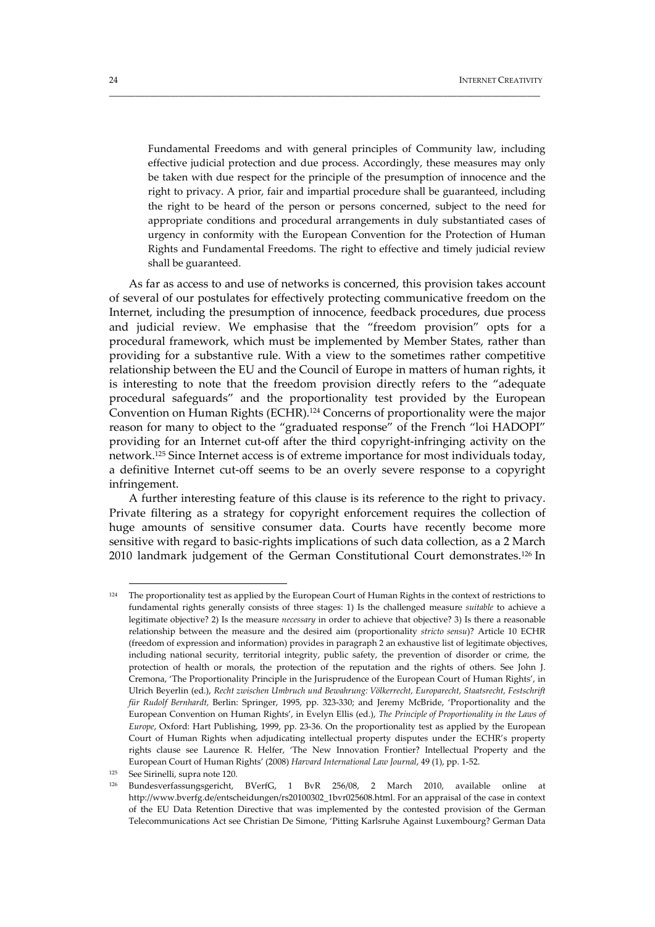Fundamental Freedoms and with general principles of Community law, including effective judicial protection and due process. Accordingly, these measures may only be taken with due respect for the principle of the presumption of innocence and the right to privacy. A prior, fair and impartial procedure shall be guaranteed, including the right to be heard of the person or persons concerned, subject to the need for appropriate conditions and procedural arrangements in duly substantiated cases of urgency in conformity with the European Convention for the Protection of Human Rights and Fundamental Freedoms. The right to effective and timely judicial review shall be guaranteed.

\_\_\_\_\_\_\_\_\_\_\_\_\_\_\_\_\_\_\_\_\_\_\_\_\_\_\_\_\_\_\_\_\_\_\_\_\_\_\_\_\_\_\_\_\_\_\_\_\_\_\_\_\_\_\_\_\_\_\_\_\_\_\_\_\_\_\_\_\_\_\_\_\_\_\_\_\_\_\_\_\_\_\_\_\_\_\_\_\_\_\_\_\_\_\_\_\_\_

As far as access to and use of networks is concerned, this provision takes account of several of our postulates for effectively protecting communicative freedom on the Internet, including the presumption of innocence, feedback procedures, due process and judicial review. We emphasise that the "freedom provision" opts for a procedural framework, which must be implemented by Member States, rather than providing for a substantive rule. With a view to the sometimes rather competitive relationship between the EU and the Council of Europe in matters of human rights, it is interesting to note that the freedom provision directly refers to the "adequate procedural safeguards" and the proportionality test provided by the European Convention on Human Rights (ECHR).124 Concerns of proportionality were the major reason for many to object to the "graduated response" of the French "loi HADOPI" providing for an Internet cut‐off after the third copyright‐infringing activity on the network.125 Since Internet access is of extreme importance for most individuals today, a definitive Internet cut‐off seems to be an overly severe response to a copyright infringement.

A further interesting feature of this clause is its reference to the right to privacy. Private filtering as a strategy for copyright enforcement requires the collection of huge amounts of sensitive consumer data. Courts have recently become more sensitive with regard to basic‐rights implications of such data collection, as a 2 March 2010 landmark judgement of the German Constitutional Court demonstrates.126 In

<u> 1989 - Johann Barn, mars eta bainar eta industrial eta baina eta baina eta baina eta baina eta baina eta bain</u>

<sup>&</sup>lt;sup>124</sup> The proportionality test as applied by the European Court of Human Rights in the context of restrictions to fundamental rights generally consists of three stages: 1) Is the challenged measure *suitable* to achieve a legitimate objective? 2) Is the measure *necessary* in order to achieve that objective? 3) Is there a reasonable relationship between the measure and the desired aim (proportionality *stricto sensu*)? Article 10 ECHR (freedom of expression and information) provides in paragraph 2 an exhaustive list of legitimate objectives, including national security, territorial integrity, public safety, the prevention of disorder or crime, the protection of health or morals, the protection of the reputation and the rights of others. See John J. Cremona, 'The Proportionality Principle in the Jurisprudence of the European Court of Human Rights', in Ulrich Beyerlin (ed.), *Recht zwischen Umbruch und Bewahrung: Völkerrecht, Europarecht, Staatsrecht, Festschrift für Rudolf Bernhardt,* Berlin: Springer, 1995, pp. 323‐330; and Jeremy McBride, 'Proportionality and the European Convention on Human Rights', in Evelyn Ellis (ed.), *The Principle of Proportionality in the Laws of Europe*, Oxford: Hart Publishing, 1999, pp. 23‐36. On the proportionality test as applied by the European Court of Human Rights when adjudicating intellectual property disputes under the ECHR's property rights clause see Laurence R. Helfer, 'The New Innovation Frontier? Intellectual Property and the European Court of Human Rights' (2008) *Harvard International Law Journal*, 49 (1), pp. 1‐52.

<sup>125</sup> See Sirinelli, supra note 120.

<sup>126</sup> Bundesverfassungsgericht, BVerfG, 1 BvR 256/08, 2 March 2010, available online at http://www.bverfg.de/entscheidungen/rs20100302\_1bvr025608.html. For an appraisal of the case in context of the EU Data Retention Directive that was implemented by the contested provision of the German Telecommunications Act see Christian De Simone, 'Pitting Karlsruhe Against Luxembourg? German Data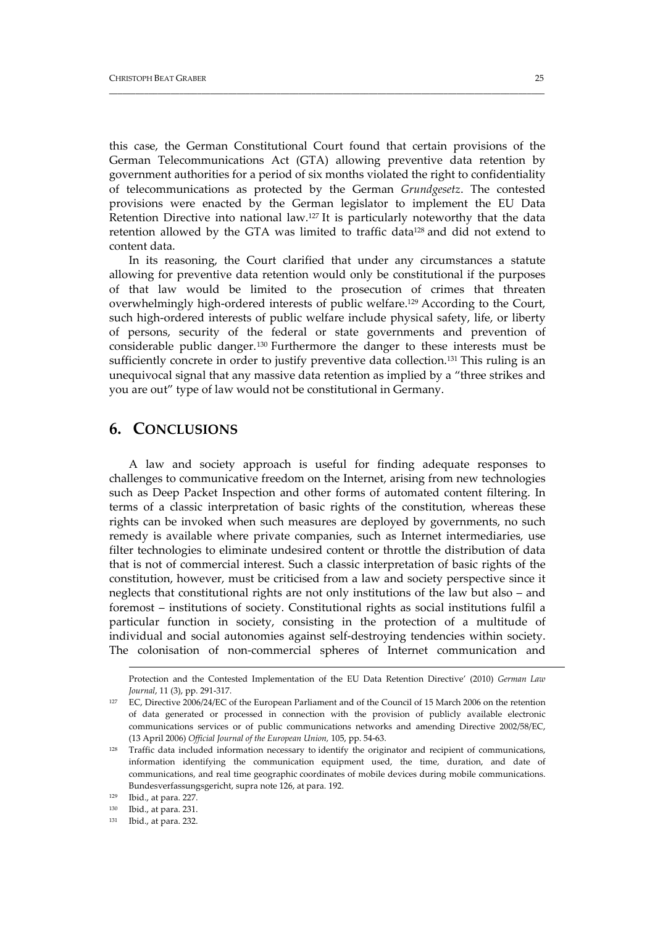this case, the German Constitutional Court found that certain provisions of the German Telecommunications Act (GTA) allowing preventive data retention by government authorities for a period of six months violated the right to confidentiality of telecommunications as protected by the German *Grundgesetz*. The contested provisions were enacted by the German legislator to implement the EU Data Retention Directive into national law.127 It is particularly noteworthy that the data retention allowed by the GTA was limited to traffic data<sup>128</sup> and did not extend to content data.

\_\_\_\_\_\_\_\_\_\_\_\_\_\_\_\_\_\_\_\_\_\_\_\_\_\_\_\_\_\_\_\_\_\_\_\_\_\_\_\_\_\_\_\_\_\_\_\_\_\_\_\_\_\_\_\_\_\_\_\_\_\_\_\_\_\_\_\_\_\_\_\_\_\_\_\_\_\_\_\_\_\_\_\_\_\_\_\_\_\_\_\_\_\_\_\_\_\_\_

In its reasoning, the Court clarified that under any circumstances a statute allowing for preventive data retention would only be constitutional if the purposes of that law would be limited to the prosecution of crimes that threaten overwhelmingly high‐ordered interests of public welfare.129 According to the Court, such high-ordered interests of public welfare include physical safety, life, or liberty of persons, security of the federal or state governments and prevention of considerable public danger.130 Furthermore the danger to these interests must be sufficiently concrete in order to justify preventive data collection.131 This ruling is an unequivocal signal that any massive data retention as implied by a "three strikes and you are out" type of law would not be constitutional in Germany.

## **6. CONCLUSIONS**

A law and society approach is useful for finding adequate responses to challenges to communicative freedom on the Internet, arising from new technologies such as Deep Packet Inspection and other forms of automated content filtering. In terms of a classic interpretation of basic rights of the constitution, whereas these rights can be invoked when such measures are deployed by governments, no such remedy is available where private companies, such as Internet intermediaries, use filter technologies to eliminate undesired content or throttle the distribution of data that is not of commercial interest. Such a classic interpretation of basic rights of the constitution, however, must be criticised from a law and society perspective since it neglects that constitutional rights are not only institutions of the law but also – and foremost – institutions of society. Constitutional rights as social institutions fulfil a particular function in society, consisting in the protection of a multitude of individual and social autonomies against self‐destroying tendencies within society. The colonisation of non‐commercial spheres of Internet communication and

<u> 1989 - Jan Salaman Salaman (j. 1989)</u>

Protection and the Contested Implementation of the EU Data Retention Directive' (2010) *German Law Journal*, 11 (3), pp. 291‐317.

<sup>127</sup> EC, Directive 2006/24/EC of the European Parliament and of the Council of 15 March 2006 on the retention of data generated or processed in connection with the provision of publicly available electronic communications services or of public communications networks and amending Directive 2002/58/EC, (13 April 2006) *Official Journal of the European Union,* 105, pp. 54‐63.

<sup>&</sup>lt;sup>128</sup> Traffic data included information necessary to identify the originator and recipient of communications, information identifying the communication equipment used, the time, duration, and date of communications, and real time geographic coordinates of mobile devices during mobile communications. Bundesverfassungsgericht, supra note 126, at para. 192.

<sup>129</sup> Ibid., at para. 227.

<sup>130</sup> Ibid., at para. 231.

<sup>131</sup> Ibid., at para. 232.